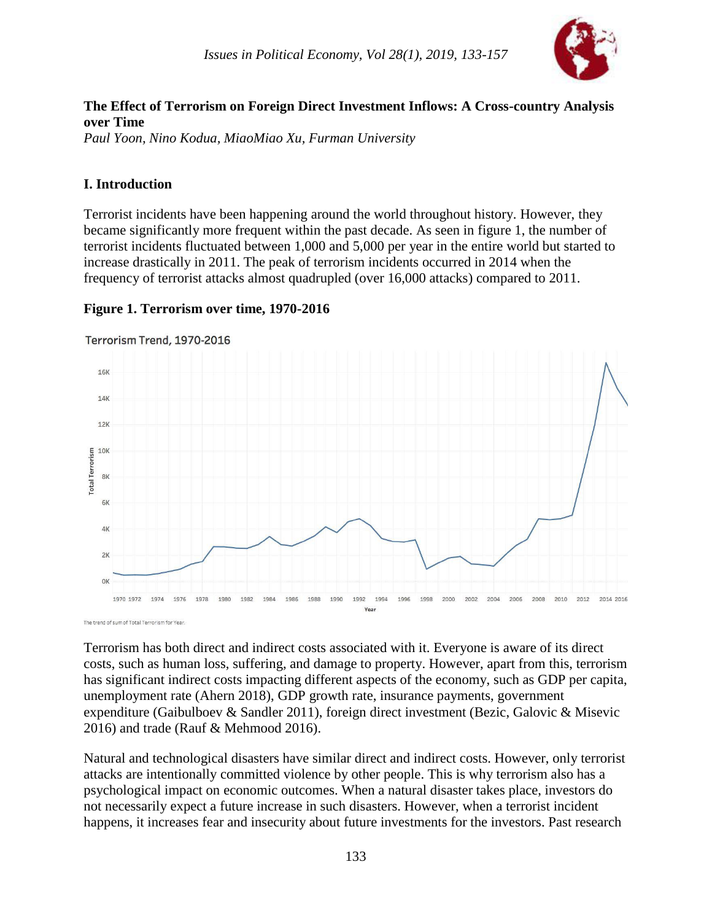

# **The Effect of Terrorism on Foreign Direct Investment Inflows: A Cross-country Analysis over Time**

*Paul Yoon, Nino Kodua, MiaoMiao Xu, Furman University*

#### **I. Introduction**

Terrorist incidents have been happening around the world throughout history. However, they became significantly more frequent within the past decade. As seen in figure 1, the number of terrorist incidents fluctuated between 1,000 and 5,000 per year in the entire world but started to increase drastically in 2011. The peak of terrorism incidents occurred in 2014 when the frequency of terrorist attacks almost quadrupled (over 16,000 attacks) compared to 2011.

#### **Figure 1. Terrorism over time, 1970-2016**



Terrorism Trend, 1970-2016

Terrorism has both direct and indirect costs associated with it. Everyone is aware of its direct costs, such as human loss, suffering, and damage to property. However, apart from this, terrorism has significant indirect costs impacting different aspects of the economy, such as GDP per capita, unemployment rate (Ahern 2018), GDP growth rate, insurance payments, government expenditure (Gaibulboev & Sandler 2011), foreign direct investment (Bezic, Galovic & Misevic 2016) and trade (Rauf & Mehmood 2016).

Natural and technological disasters have similar direct and indirect costs. However, only terrorist attacks are intentionally committed violence by other people. This is why terrorism also has a psychological impact on economic outcomes. When a natural disaster takes place, investors do not necessarily expect a future increase in such disasters. However, when a terrorist incident happens, it increases fear and insecurity about future investments for the investors. Past research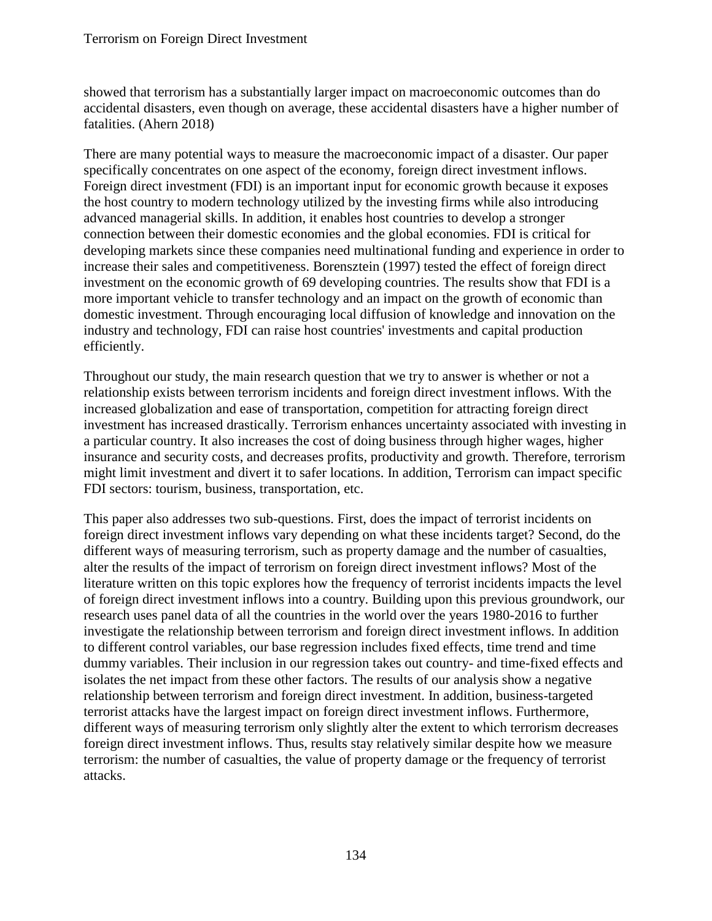showed that terrorism has a substantially larger impact on macroeconomic outcomes than do accidental disasters, even though on average, these accidental disasters have a higher number of fatalities. (Ahern 2018)

There are many potential ways to measure the macroeconomic impact of a disaster. Our paper specifically concentrates on one aspect of the economy, foreign direct investment inflows. Foreign direct investment (FDI) is an important input for economic growth because it exposes the host country to modern technology utilized by the investing firms while also introducing advanced managerial skills. In addition, it enables host countries to develop a stronger connection between their domestic economies and the global economies. FDI is critical for developing markets since these companies need multinational funding and experience in order to increase their sales and competitiveness. Borensztein (1997) tested the effect of foreign direct investment on the economic growth of 69 developing countries. The results show that FDI is a more important vehicle to transfer technology and an impact on the growth of economic than domestic investment. Through encouraging local diffusion of knowledge and innovation on the industry and technology, FDI can raise host countries' investments and capital production efficiently.

Throughout our study, the main research question that we try to answer is whether or not a relationship exists between terrorism incidents and foreign direct investment inflows. With the increased globalization and ease of transportation, competition for attracting foreign direct investment has increased drastically. Terrorism enhances uncertainty associated with investing in a particular country. It also increases the cost of doing business through higher wages, higher insurance and security costs, and decreases profits, productivity and growth. Therefore, terrorism might limit investment and divert it to safer locations. In addition, Terrorism can impact specific FDI sectors: tourism, business, transportation, etc.

This paper also addresses two sub-questions. First, does the impact of terrorist incidents on foreign direct investment inflows vary depending on what these incidents target? Second, do the different ways of measuring terrorism, such as property damage and the number of casualties, alter the results of the impact of terrorism on foreign direct investment inflows? Most of the literature written on this topic explores how the frequency of terrorist incidents impacts the level of foreign direct investment inflows into a country. Building upon this previous groundwork, our research uses panel data of all the countries in the world over the years 1980-2016 to further investigate the relationship between terrorism and foreign direct investment inflows. In addition to different control variables, our base regression includes fixed effects, time trend and time dummy variables. Their inclusion in our regression takes out country- and time-fixed effects and isolates the net impact from these other factors. The results of our analysis show a negative relationship between terrorism and foreign direct investment. In addition, business-targeted terrorist attacks have the largest impact on foreign direct investment inflows. Furthermore, different ways of measuring terrorism only slightly alter the extent to which terrorism decreases foreign direct investment inflows. Thus, results stay relatively similar despite how we measure terrorism: the number of casualties, the value of property damage or the frequency of terrorist attacks.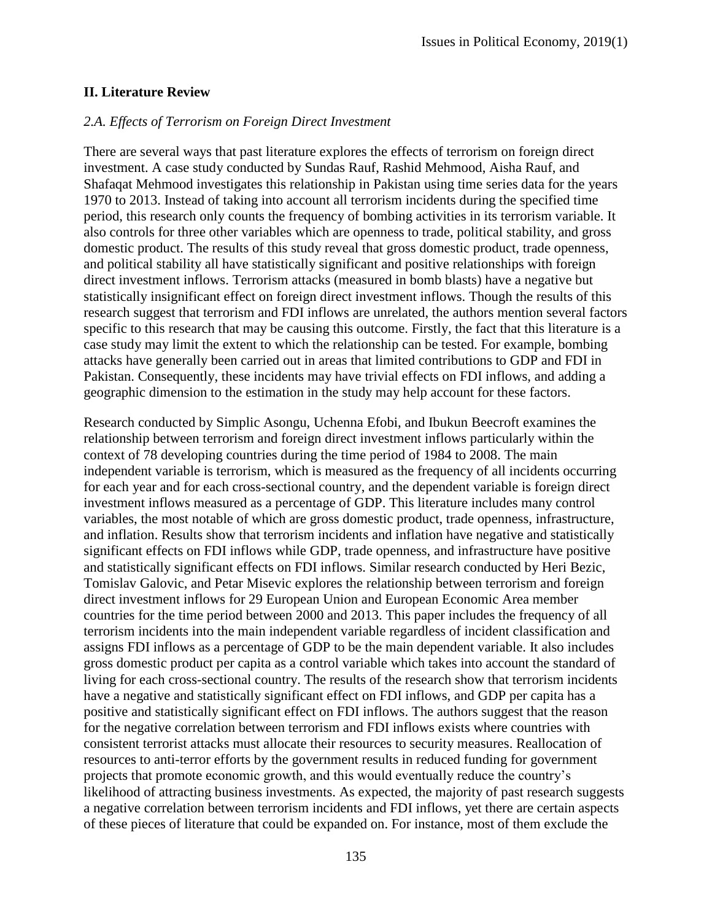#### **II. Literature Review**

#### *2.A. Effects of Terrorism on Foreign Direct Investment*

There are several ways that past literature explores the effects of terrorism on foreign direct investment. A case study conducted by Sundas Rauf, Rashid Mehmood, Aisha Rauf, and Shafaqat Mehmood investigates this relationship in Pakistan using time series data for the years 1970 to 2013. Instead of taking into account all terrorism incidents during the specified time period, this research only counts the frequency of bombing activities in its terrorism variable. It also controls for three other variables which are openness to trade, political stability, and gross domestic product. The results of this study reveal that gross domestic product, trade openness, and political stability all have statistically significant and positive relationships with foreign direct investment inflows. Terrorism attacks (measured in bomb blasts) have a negative but statistically insignificant effect on foreign direct investment inflows. Though the results of this research suggest that terrorism and FDI inflows are unrelated, the authors mention several factors specific to this research that may be causing this outcome. Firstly, the fact that this literature is a case study may limit the extent to which the relationship can be tested. For example, bombing attacks have generally been carried out in areas that limited contributions to GDP and FDI in Pakistan. Consequently, these incidents may have trivial effects on FDI inflows, and adding a geographic dimension to the estimation in the study may help account for these factors.

Research conducted by Simplic Asongu, Uchenna Efobi, and Ibukun Beecroft examines the relationship between terrorism and foreign direct investment inflows particularly within the context of 78 developing countries during the time period of 1984 to 2008. The main independent variable is terrorism, which is measured as the frequency of all incidents occurring for each year and for each cross-sectional country, and the dependent variable is foreign direct investment inflows measured as a percentage of GDP. This literature includes many control variables, the most notable of which are gross domestic product, trade openness, infrastructure, and inflation. Results show that terrorism incidents and inflation have negative and statistically significant effects on FDI inflows while GDP, trade openness, and infrastructure have positive and statistically significant effects on FDI inflows. Similar research conducted by Heri Bezic, Tomislav Galovic, and Petar Misevic explores the relationship between terrorism and foreign direct investment inflows for 29 European Union and European Economic Area member countries for the time period between 2000 and 2013. This paper includes the frequency of all terrorism incidents into the main independent variable regardless of incident classification and assigns FDI inflows as a percentage of GDP to be the main dependent variable. It also includes gross domestic product per capita as a control variable which takes into account the standard of living for each cross-sectional country. The results of the research show that terrorism incidents have a negative and statistically significant effect on FDI inflows, and GDP per capita has a positive and statistically significant effect on FDI inflows. The authors suggest that the reason for the negative correlation between terrorism and FDI inflows exists where countries with consistent terrorist attacks must allocate their resources to security measures. Reallocation of resources to anti-terror efforts by the government results in reduced funding for government projects that promote economic growth, and this would eventually reduce the country's likelihood of attracting business investments. As expected, the majority of past research suggests a negative correlation between terrorism incidents and FDI inflows, yet there are certain aspects of these pieces of literature that could be expanded on. For instance, most of them exclude the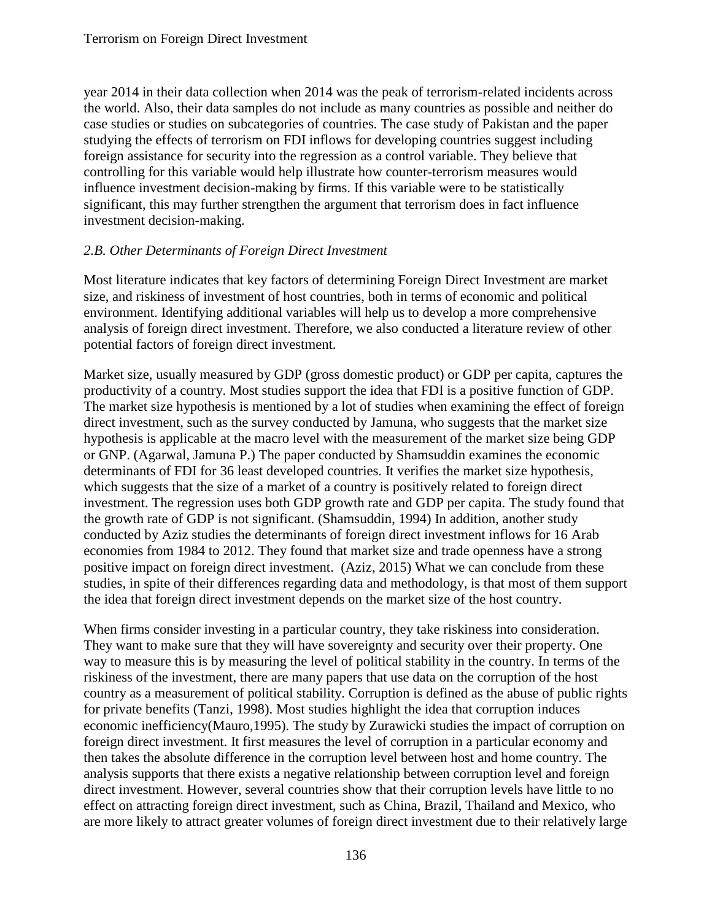year 2014 in their data collection when 2014 was the peak of terrorism-related incidents across the world. Also, their data samples do not include as many countries as possible and neither do case studies or studies on subcategories of countries. The case study of Pakistan and the paper studying the effects of terrorism on FDI inflows for developing countries suggest including foreign assistance for security into the regression as a control variable. They believe that controlling for this variable would help illustrate how counter-terrorism measures would influence investment decision-making by firms. If this variable were to be statistically significant, this may further strengthen the argument that terrorism does in fact influence investment decision-making.

#### *2.B. Other Determinants of Foreign Direct Investment*

Most literature indicates that key factors of determining Foreign Direct Investment are market size, and riskiness of investment of host countries, both in terms of economic and political environment. Identifying additional variables will help us to develop a more comprehensive analysis of foreign direct investment. Therefore, we also conducted a literature review of other potential factors of foreign direct investment.

Market size, usually measured by GDP (gross domestic product) or GDP per capita, captures the productivity of a country. Most studies support the idea that FDI is a positive function of GDP. The market size hypothesis is mentioned by a lot of studies when examining the effect of foreign direct investment, such as the survey conducted by Jamuna, who suggests that the market size hypothesis is applicable at the macro level with the measurement of the market size being GDP or GNP. (Agarwal, Jamuna P.) The paper conducted by Shamsuddin examines the economic determinants of FDI for 36 least developed countries. It verifies the market size hypothesis, which suggests that the size of a market of a country is positively related to foreign direct investment. The regression uses both GDP growth rate and GDP per capita. The study found that the growth rate of GDP is not significant. (Shamsuddin, 1994) In addition, another study conducted by Aziz studies the determinants of foreign direct investment inflows for 16 Arab economies from 1984 to 2012. They found that market size and trade openness have a strong positive impact on foreign direct investment. (Aziz, 2015) What we can conclude from these studies, in spite of their differences regarding data and methodology, is that most of them support the idea that foreign direct investment depends on the market size of the host country.

When firms consider investing in a particular country, they take riskiness into consideration. They want to make sure that they will have sovereignty and security over their property. One way to measure this is by measuring the level of political stability in the country. In terms of the riskiness of the investment, there are many papers that use data on the corruption of the host country as a measurement of political stability. Corruption is defined as the abuse of public rights for private benefits (Tanzi, 1998). Most studies highlight the idea that corruption induces economic inefficiency(Mauro,1995). The study by Zurawicki studies the impact of corruption on foreign direct investment. It first measures the level of corruption in a particular economy and then takes the absolute difference in the corruption level between host and home country. The analysis supports that there exists a negative relationship between corruption level and foreign direct investment. However, several countries show that their corruption levels have little to no effect on attracting foreign direct investment, such as China, Brazil, Thailand and Mexico, who are more likely to attract greater volumes of foreign direct investment due to their relatively large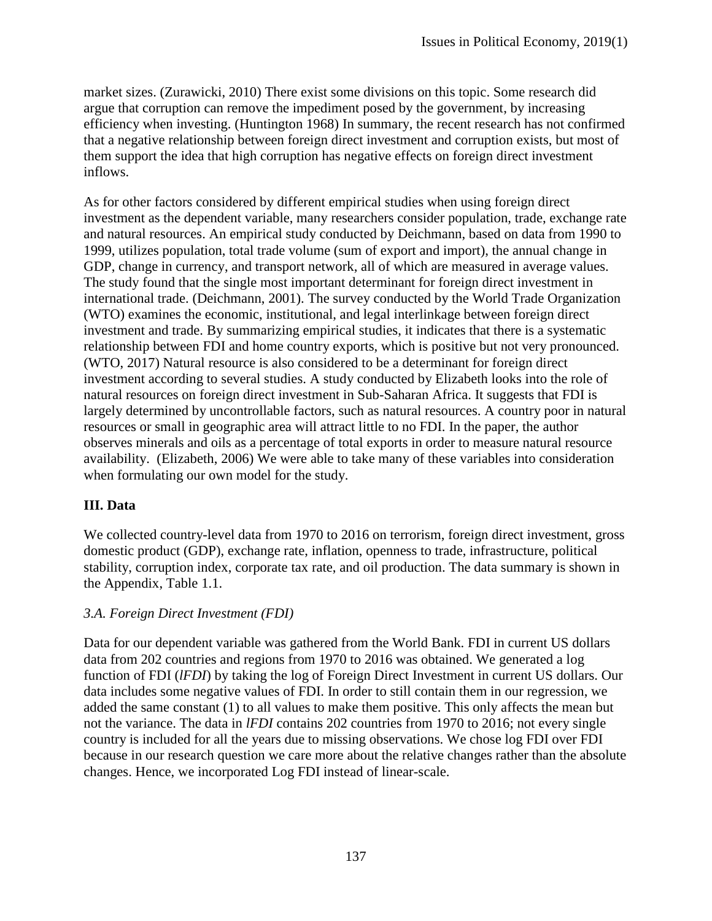market sizes. (Zurawicki, 2010) There exist some divisions on this topic. Some research did argue that corruption can remove the impediment posed by the government, by increasing efficiency when investing. (Huntington 1968) In summary, the recent research has not confirmed that a negative relationship between foreign direct investment and corruption exists, but most of them support the idea that high corruption has negative effects on foreign direct investment inflows.

As for other factors considered by different empirical studies when using foreign direct investment as the dependent variable, many researchers consider population, trade, exchange rate and natural resources. An empirical study conducted by Deichmann, based on data from 1990 to 1999, utilizes population, total trade volume (sum of export and import), the annual change in GDP, change in currency, and transport network, all of which are measured in average values. The study found that the single most important determinant for foreign direct investment in international trade. (Deichmann, 2001). The survey conducted by the World Trade Organization (WTO) examines the economic, institutional, and legal interlinkage between foreign direct investment and trade. By summarizing empirical studies, it indicates that there is a systematic relationship between FDI and home country exports, which is positive but not very pronounced. (WTO, 2017) Natural resource is also considered to be a determinant for foreign direct investment according to several studies. A study conducted by Elizabeth looks into the role of natural resources on foreign direct investment in Sub-Saharan Africa. It suggests that FDI is largely determined by uncontrollable factors, such as natural resources. A country poor in natural resources or small in geographic area will attract little to no FDI. In the paper, the author observes minerals and oils as a percentage of total exports in order to measure natural resource availability. (Elizabeth, 2006) We were able to take many of these variables into consideration when formulating our own model for the study.

#### **III. Data**

We collected country-level data from 1970 to 2016 on terrorism, foreign direct investment, gross domestic product (GDP), exchange rate, inflation, openness to trade, infrastructure, political stability, corruption index, corporate tax rate, and oil production. The data summary is shown in the Appendix, Table 1.1.

#### *3.A. Foreign Direct Investment (FDI)*

Data for our dependent variable was gathered from the World Bank. FDI in current US dollars data from 202 countries and regions from 1970 to 2016 was obtained. We generated a log function of FDI (*lFDI*) by taking the log of Foreign Direct Investment in current US dollars. Our data includes some negative values of FDI. In order to still contain them in our regression, we added the same constant (1) to all values to make them positive. This only affects the mean but not the variance. The data in *lFDI* contains 202 countries from 1970 to 2016; not every single country is included for all the years due to missing observations. We chose log FDI over FDI because in our research question we care more about the relative changes rather than the absolute changes. Hence, we incorporated Log FDI instead of linear-scale.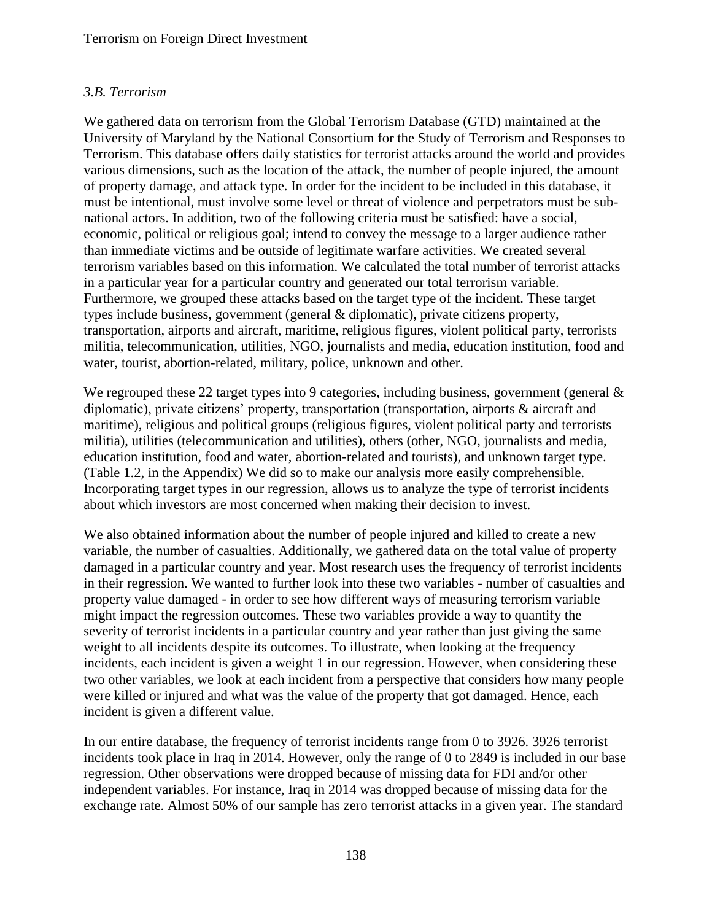# *3.B. Terrorism*

We gathered data on terrorism from the Global Terrorism Database (GTD) maintained at the University of Maryland by the National Consortium for the Study of Terrorism and Responses to Terrorism. This database offers daily statistics for terrorist attacks around the world and provides various dimensions, such as the location of the attack, the number of people injured, the amount of property damage, and attack type. In order for the incident to be included in this database, it must be intentional, must involve some level or threat of violence and perpetrators must be subnational actors. In addition, two of the following criteria must be satisfied: have a social, economic, political or religious goal; intend to convey the message to a larger audience rather than immediate victims and be outside of legitimate warfare activities. We created several terrorism variables based on this information. We calculated the total number of terrorist attacks in a particular year for a particular country and generated our total terrorism variable. Furthermore, we grouped these attacks based on the target type of the incident. These target types include business, government (general & diplomatic), private citizens property, transportation, airports and aircraft, maritime, religious figures, violent political party, terrorists militia, telecommunication, utilities, NGO, journalists and media, education institution, food and water, tourist, abortion-related, military, police, unknown and other.

We regrouped these 22 target types into 9 categories, including business, government (general  $\&$ diplomatic), private citizens' property, transportation (transportation, airports & aircraft and maritime), religious and political groups (religious figures, violent political party and terrorists militia), utilities (telecommunication and utilities), others (other, NGO, journalists and media, education institution, food and water, abortion-related and tourists), and unknown target type. (Table 1.2, in the Appendix) We did so to make our analysis more easily comprehensible. Incorporating target types in our regression, allows us to analyze the type of terrorist incidents about which investors are most concerned when making their decision to invest.

We also obtained information about the number of people injured and killed to create a new variable, the number of casualties. Additionally, we gathered data on the total value of property damaged in a particular country and year. Most research uses the frequency of terrorist incidents in their regression. We wanted to further look into these two variables - number of casualties and property value damaged - in order to see how different ways of measuring terrorism variable might impact the regression outcomes. These two variables provide a way to quantify the severity of terrorist incidents in a particular country and year rather than just giving the same weight to all incidents despite its outcomes. To illustrate, when looking at the frequency incidents, each incident is given a weight 1 in our regression. However, when considering these two other variables, we look at each incident from a perspective that considers how many people were killed or injured and what was the value of the property that got damaged. Hence, each incident is given a different value.

In our entire database, the frequency of terrorist incidents range from 0 to 3926. 3926 terrorist incidents took place in Iraq in 2014. However, only the range of 0 to 2849 is included in our base regression. Other observations were dropped because of missing data for FDI and/or other independent variables. For instance, Iraq in 2014 was dropped because of missing data for the exchange rate. Almost 50% of our sample has zero terrorist attacks in a given year. The standard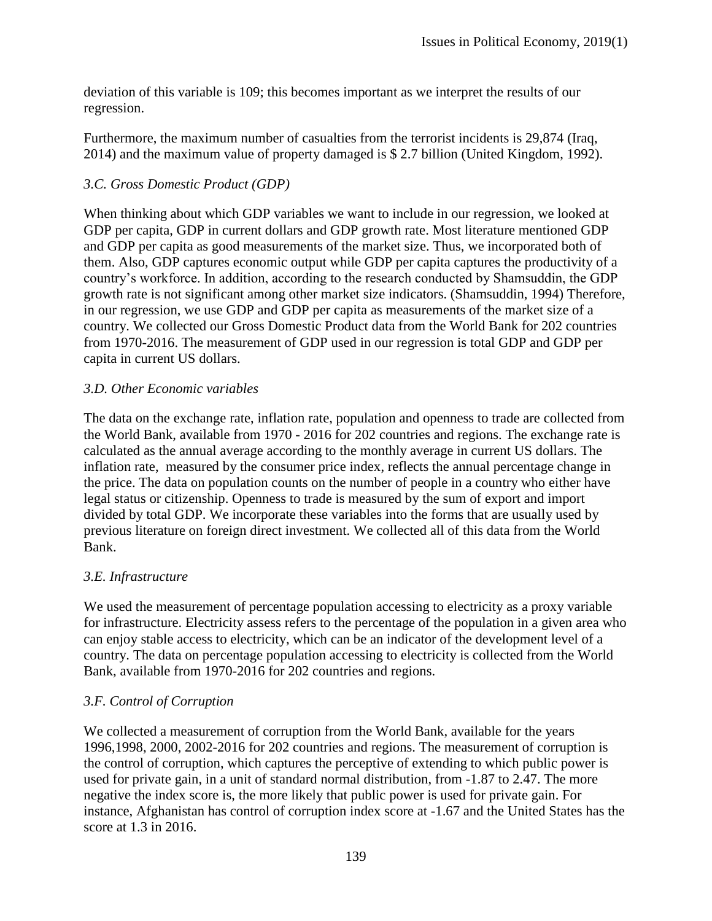deviation of this variable is 109; this becomes important as we interpret the results of our regression.

Furthermore, the maximum number of casualties from the terrorist incidents is 29,874 (Iraq, 2014) and the maximum value of property damaged is \$ 2.7 billion (United Kingdom, 1992).

#### *3.C. Gross Domestic Product (GDP)*

When thinking about which GDP variables we want to include in our regression, we looked at GDP per capita, GDP in current dollars and GDP growth rate. Most literature mentioned GDP and GDP per capita as good measurements of the market size. Thus, we incorporated both of them. Also, GDP captures economic output while GDP per capita captures the productivity of a country's workforce. In addition, according to the research conducted by Shamsuddin, the GDP growth rate is not significant among other market size indicators. (Shamsuddin, 1994) Therefore, in our regression, we use GDP and GDP per capita as measurements of the market size of a country. We collected our Gross Domestic Product data from the World Bank for 202 countries from 1970-2016. The measurement of GDP used in our regression is total GDP and GDP per capita in current US dollars.

#### *3.D. Other Economic variables*

The data on the exchange rate, inflation rate, population and openness to trade are collected from the World Bank, available from 1970 - 2016 for 202 countries and regions. The exchange rate is calculated as the annual average according to the monthly average in current US dollars. The inflation rate, measured by the consumer price index, reflects the annual percentage change in the price. The data on population counts on the number of people in a country who either have legal status or citizenship. Openness to trade is measured by the sum of export and import divided by total GDP. We incorporate these variables into the forms that are usually used by previous literature on foreign direct investment. We collected all of this data from the World Bank.

#### *3.E. Infrastructure*

We used the measurement of percentage population accessing to electricity as a proxy variable for infrastructure. Electricity assess refers to the percentage of the population in a given area who can enjoy stable access to electricity, which can be an indicator of the development level of a country. The data on percentage population accessing to electricity is collected from the World Bank, available from 1970-2016 for 202 countries and regions.

#### *3.F. Control of Corruption*

We collected a measurement of corruption from the World Bank, available for the years 1996,1998, 2000, 2002-2016 for 202 countries and regions. The measurement of corruption is the control of corruption, which captures the perceptive of extending to which public power is used for private gain, in a unit of standard normal distribution, from -1.87 to 2.47. The more negative the index score is, the more likely that public power is used for private gain. For instance, Afghanistan has control of corruption index score at -1.67 and the United States has the score at 1.3 in 2016.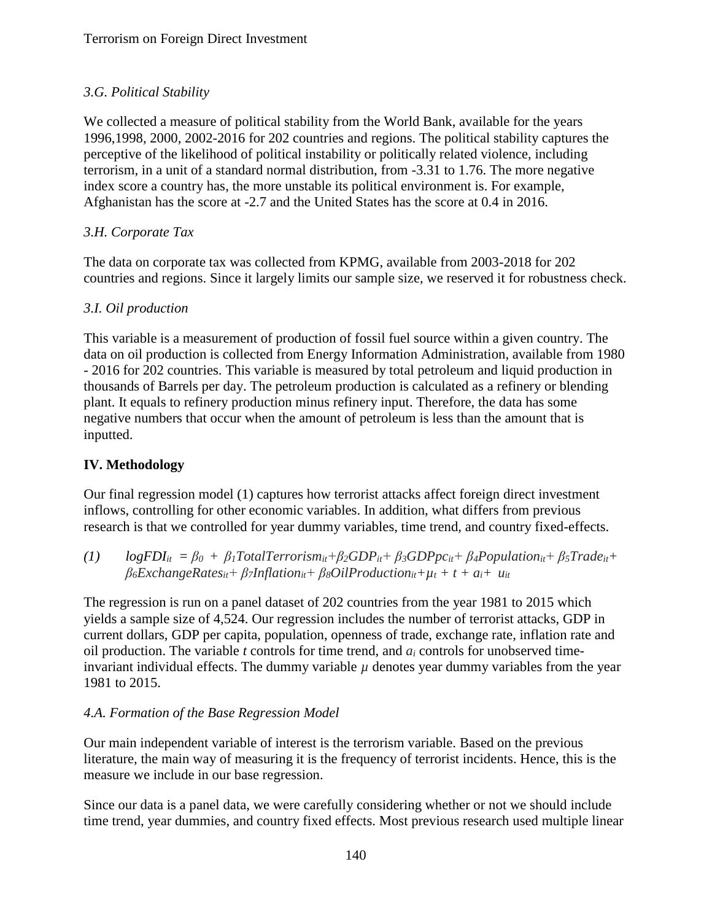# *3.G. Political Stability*

We collected a measure of political stability from the World Bank, available for the years 1996,1998, 2000, 2002-2016 for 202 countries and regions. The political stability captures the perceptive of the likelihood of political instability or politically related violence, including terrorism, in a unit of a standard normal distribution, from -3.31 to 1.76. The more negative index score a country has, the more unstable its political environment is. For example, Afghanistan has the score at -2.7 and the United States has the score at 0.4 in 2016.

# *3.H. Corporate Tax*

The data on corporate tax was collected from KPMG, available from 2003-2018 for 202 countries and regions. Since it largely limits our sample size, we reserved it for robustness check.

### *3.I. Oil production*

This variable is a measurement of production of fossil fuel source within a given country. The data on oil production is collected from Energy Information Administration, available from 1980 - 2016 for 202 countries. This variable is measured by total petroleum and liquid production in thousands of Barrels per day. The petroleum production is calculated as a refinery or blending plant. It equals to refinery production minus refinery input. Therefore, the data has some negative numbers that occur when the amount of petroleum is less than the amount that is inputted.

# **IV. Methodology**

Our final regression model (1) captures how terrorist attacks affect foreign direct investment inflows, controlling for other economic variables. In addition, what differs from previous research is that we controlled for year dummy variables, time trend, and country fixed-effects.

(1)  $logFDI_{it} = \beta_0 + \beta_1 TotalTerrorism_{it} + \beta_2 GDP_{it} + \beta_3 GDP_{i} + \beta_4 Population_{it} + \beta_5 Trade_{it} +$  $\beta_6$ *ExchangeRates<sub>it</sub></sub>+*  $\beta_7$ *<i>Inflation<sub>it</sub></sub>+*  $\beta_8$ *<i>OilProduction<sub>it</sub>+*  $\mu_t$  *+*  $t$  *+*  $a_i$ *+*  $u_{it}$ 

The regression is run on a panel dataset of 202 countries from the year 1981 to 2015 which yields a sample size of 4,524. Our regression includes the number of terrorist attacks, GDP in current dollars, GDP per capita, population, openness of trade, exchange rate, inflation rate and oil production. The variable *t* controls for time trend, and *a<sup>i</sup>* controls for unobserved timeinvariant individual effects. The dummy variable  $\mu$  denotes year dummy variables from the year 1981 to 2015.

#### *4.A. Formation of the Base Regression Model*

Our main independent variable of interest is the terrorism variable. Based on the previous literature, the main way of measuring it is the frequency of terrorist incidents. Hence, this is the measure we include in our base regression.

Since our data is a panel data, we were carefully considering whether or not we should include time trend, year dummies, and country fixed effects. Most previous research used multiple linear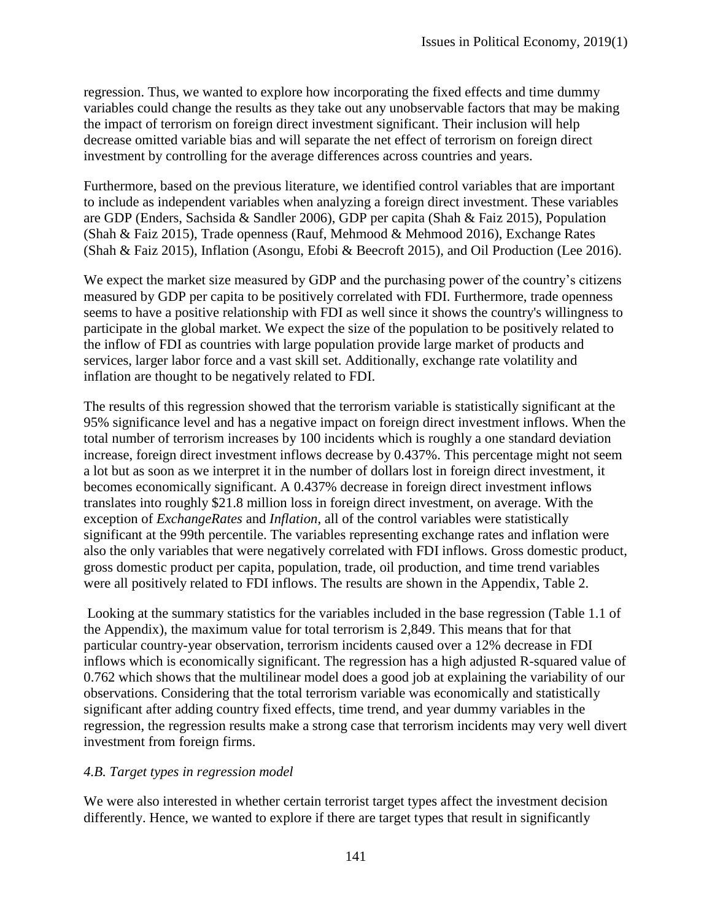regression. Thus, we wanted to explore how incorporating the fixed effects and time dummy variables could change the results as they take out any unobservable factors that may be making the impact of terrorism on foreign direct investment significant. Their inclusion will help decrease omitted variable bias and will separate the net effect of terrorism on foreign direct investment by controlling for the average differences across countries and years.

Furthermore, based on the previous literature, we identified control variables that are important to include as independent variables when analyzing a foreign direct investment. These variables are GDP (Enders, Sachsida & Sandler 2006), GDP per capita (Shah & Faiz 2015), Population (Shah & Faiz 2015), Trade openness (Rauf, Mehmood & Mehmood 2016), Exchange Rates (Shah & Faiz 2015), Inflation (Asongu, Efobi & Beecroft 2015), and Oil Production (Lee 2016).

We expect the market size measured by GDP and the purchasing power of the country's citizens measured by GDP per capita to be positively correlated with FDI. Furthermore, trade openness seems to have a positive relationship with FDI as well since it shows the country's willingness to participate in the global market. We expect the size of the population to be positively related to the inflow of FDI as countries with large population provide large market of products and services, larger labor force and a vast skill set. Additionally, exchange rate volatility and inflation are thought to be negatively related to FDI.

The results of this regression showed that the terrorism variable is statistically significant at the 95% significance level and has a negative impact on foreign direct investment inflows. When the total number of terrorism increases by 100 incidents which is roughly a one standard deviation increase, foreign direct investment inflows decrease by 0.437%. This percentage might not seem a lot but as soon as we interpret it in the number of dollars lost in foreign direct investment, it becomes economically significant. A 0.437% decrease in foreign direct investment inflows translates into roughly \$21.8 million loss in foreign direct investment, on average. With the exception of *ExchangeRates* and *Inflation*, all of the control variables were statistically significant at the 99th percentile. The variables representing exchange rates and inflation were also the only variables that were negatively correlated with FDI inflows. Gross domestic product, gross domestic product per capita, population, trade, oil production, and time trend variables were all positively related to FDI inflows. The results are shown in the Appendix, Table 2.

Looking at the summary statistics for the variables included in the base regression (Table 1.1 of the Appendix), the maximum value for total terrorism is 2,849. This means that for that particular country-year observation, terrorism incidents caused over a 12% decrease in FDI inflows which is economically significant. The regression has a high adjusted R-squared value of 0.762 which shows that the multilinear model does a good job at explaining the variability of our observations. Considering that the total terrorism variable was economically and statistically significant after adding country fixed effects, time trend, and year dummy variables in the regression, the regression results make a strong case that terrorism incidents may very well divert investment from foreign firms.

#### *4.B. Target types in regression model*

We were also interested in whether certain terrorist target types affect the investment decision differently. Hence, we wanted to explore if there are target types that result in significantly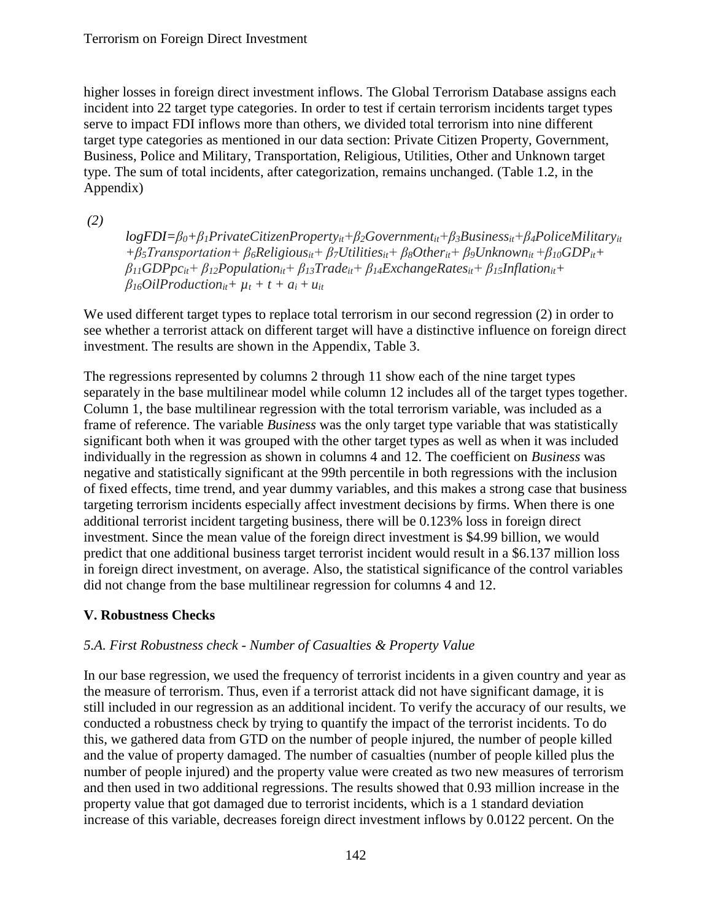higher losses in foreign direct investment inflows. The Global Terrorism Database assigns each incident into 22 target type categories. In order to test if certain terrorism incidents target types serve to impact FDI inflows more than others, we divided total terrorism into nine different target type categories as mentioned in our data section: Private Citizen Property, Government, Business, Police and Military, Transportation, Religious, Utilities, Other and Unknown target type. The sum of total incidents, after categorization, remains unchanged. (Table 1.2, in the Appendix)

*(2)*

*logFDI=β0+β1PrivateCitizenPropertyit+β2Governmentit+β3Businessit+β4PoliceMilitaryit* + $\beta_5$ Transportation+ $\beta_6$ Religious<sub>it</sub>+ $\beta_7$ Utilities<sub>it</sub>+ $\beta_8$ Other<sub>it</sub>+ $\beta_9$ Unknown<sub>it</sub>+ $\beta_{10}GDP_{it}$ + *β11GDPpcit+ β12Populationit+ β13Tradeit+ β14ExchangeRatesit+ β15Inflationit+*  $B_{16}$ *OilProduction<sub>it</sub>*+  $\mu$ <sub>*t*</sub> + *t* +  $a$ <sub>*i*</sub> +  $\mu$ <sub>*it*</sub>

We used different target types to replace total terrorism in our second regression (2) in order to see whether a terrorist attack on different target will have a distinctive influence on foreign direct investment. The results are shown in the Appendix, Table 3.

The regressions represented by columns 2 through 11 show each of the nine target types separately in the base multilinear model while column 12 includes all of the target types together. Column 1, the base multilinear regression with the total terrorism variable, was included as a frame of reference. The variable *Business* was the only target type variable that was statistically significant both when it was grouped with the other target types as well as when it was included individually in the regression as shown in columns 4 and 12. The coefficient on *Business* was negative and statistically significant at the 99th percentile in both regressions with the inclusion of fixed effects, time trend, and year dummy variables, and this makes a strong case that business targeting terrorism incidents especially affect investment decisions by firms. When there is one additional terrorist incident targeting business, there will be 0.123% loss in foreign direct investment. Since the mean value of the foreign direct investment is \$4.99 billion, we would predict that one additional business target terrorist incident would result in a \$6.137 million loss in foreign direct investment, on average. Also, the statistical significance of the control variables did not change from the base multilinear regression for columns 4 and 12.

# **V. Robustness Checks**

# *5.A. First Robustness check - Number of Casualties & Property Value*

In our base regression, we used the frequency of terrorist incidents in a given country and year as the measure of terrorism. Thus, even if a terrorist attack did not have significant damage, it is still included in our regression as an additional incident. To verify the accuracy of our results, we conducted a robustness check by trying to quantify the impact of the terrorist incidents. To do this, we gathered data from GTD on the number of people injured, the number of people killed and the value of property damaged. The number of casualties (number of people killed plus the number of people injured) and the property value were created as two new measures of terrorism and then used in two additional regressions. The results showed that 0.93 million increase in the property value that got damaged due to terrorist incidents, which is a 1 standard deviation increase of this variable, decreases foreign direct investment inflows by 0.0122 percent. On the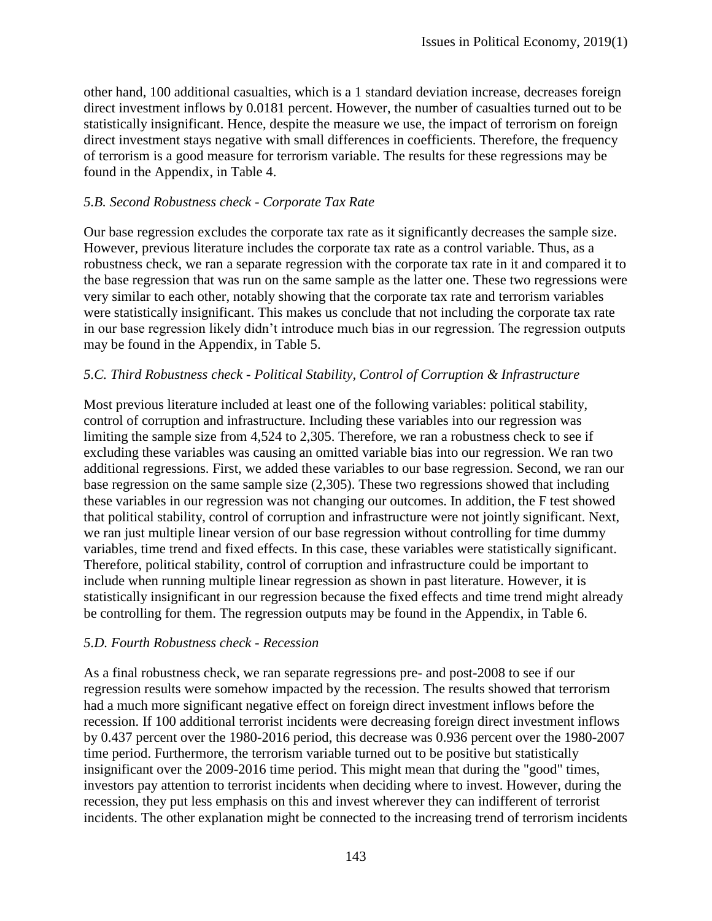other hand, 100 additional casualties, which is a 1 standard deviation increase, decreases foreign direct investment inflows by 0.0181 percent. However, the number of casualties turned out to be statistically insignificant. Hence, despite the measure we use, the impact of terrorism on foreign direct investment stays negative with small differences in coefficients. Therefore, the frequency of terrorism is a good measure for terrorism variable. The results for these regressions may be found in the Appendix, in Table 4.

#### *5.B. Second Robustness check - Corporate Tax Rate*

Our base regression excludes the corporate tax rate as it significantly decreases the sample size. However, previous literature includes the corporate tax rate as a control variable. Thus, as a robustness check, we ran a separate regression with the corporate tax rate in it and compared it to the base regression that was run on the same sample as the latter one. These two regressions were very similar to each other, notably showing that the corporate tax rate and terrorism variables were statistically insignificant. This makes us conclude that not including the corporate tax rate in our base regression likely didn't introduce much bias in our regression. The regression outputs may be found in the Appendix, in Table 5.

#### *5.C. Third Robustness check - Political Stability, Control of Corruption & Infrastructure*

Most previous literature included at least one of the following variables: political stability, control of corruption and infrastructure. Including these variables into our regression was limiting the sample size from 4,524 to 2,305. Therefore, we ran a robustness check to see if excluding these variables was causing an omitted variable bias into our regression. We ran two additional regressions. First, we added these variables to our base regression. Second, we ran our base regression on the same sample size (2,305). These two regressions showed that including these variables in our regression was not changing our outcomes. In addition, the F test showed that political stability, control of corruption and infrastructure were not jointly significant. Next, we ran just multiple linear version of our base regression without controlling for time dummy variables, time trend and fixed effects. In this case, these variables were statistically significant. Therefore, political stability, control of corruption and infrastructure could be important to include when running multiple linear regression as shown in past literature. However, it is statistically insignificant in our regression because the fixed effects and time trend might already be controlling for them. The regression outputs may be found in the Appendix, in Table 6.

#### *5.D. Fourth Robustness check - Recession*

As a final robustness check, we ran separate regressions pre- and post-2008 to see if our regression results were somehow impacted by the recession. The results showed that terrorism had a much more significant negative effect on foreign direct investment inflows before the recession. If 100 additional terrorist incidents were decreasing foreign direct investment inflows by 0.437 percent over the 1980-2016 period, this decrease was 0.936 percent over the 1980-2007 time period. Furthermore, the terrorism variable turned out to be positive but statistically insignificant over the 2009-2016 time period. This might mean that during the "good" times, investors pay attention to terrorist incidents when deciding where to invest. However, during the recession, they put less emphasis on this and invest wherever they can indifferent of terrorist incidents. The other explanation might be connected to the increasing trend of terrorism incidents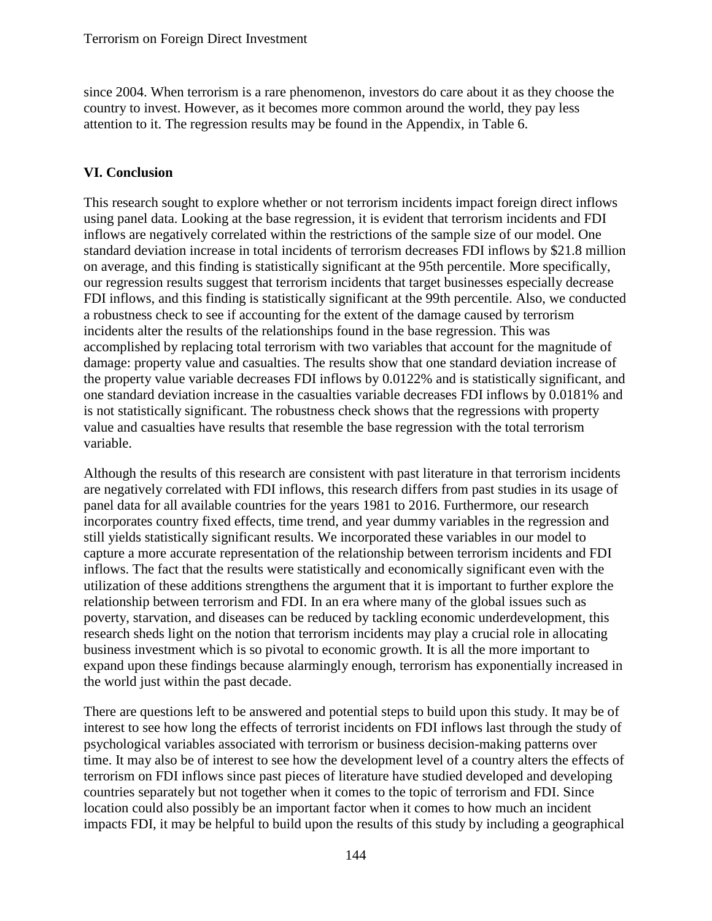since 2004. When terrorism is a rare phenomenon, investors do care about it as they choose the country to invest. However, as it becomes more common around the world, they pay less attention to it. The regression results may be found in the Appendix, in Table 6.

# **VI. Conclusion**

This research sought to explore whether or not terrorism incidents impact foreign direct inflows using panel data. Looking at the base regression, it is evident that terrorism incidents and FDI inflows are negatively correlated within the restrictions of the sample size of our model. One standard deviation increase in total incidents of terrorism decreases FDI inflows by \$21.8 million on average, and this finding is statistically significant at the 95th percentile. More specifically, our regression results suggest that terrorism incidents that target businesses especially decrease FDI inflows, and this finding is statistically significant at the 99th percentile. Also, we conducted a robustness check to see if accounting for the extent of the damage caused by terrorism incidents alter the results of the relationships found in the base regression. This was accomplished by replacing total terrorism with two variables that account for the magnitude of damage: property value and casualties. The results show that one standard deviation increase of the property value variable decreases FDI inflows by 0.0122% and is statistically significant, and one standard deviation increase in the casualties variable decreases FDI inflows by 0.0181% and is not statistically significant. The robustness check shows that the regressions with property value and casualties have results that resemble the base regression with the total terrorism variable.

Although the results of this research are consistent with past literature in that terrorism incidents are negatively correlated with FDI inflows, this research differs from past studies in its usage of panel data for all available countries for the years 1981 to 2016. Furthermore, our research incorporates country fixed effects, time trend, and year dummy variables in the regression and still yields statistically significant results. We incorporated these variables in our model to capture a more accurate representation of the relationship between terrorism incidents and FDI inflows. The fact that the results were statistically and economically significant even with the utilization of these additions strengthens the argument that it is important to further explore the relationship between terrorism and FDI. In an era where many of the global issues such as poverty, starvation, and diseases can be reduced by tackling economic underdevelopment, this research sheds light on the notion that terrorism incidents may play a crucial role in allocating business investment which is so pivotal to economic growth. It is all the more important to expand upon these findings because alarmingly enough, terrorism has exponentially increased in the world just within the past decade.

There are questions left to be answered and potential steps to build upon this study. It may be of interest to see how long the effects of terrorist incidents on FDI inflows last through the study of psychological variables associated with terrorism or business decision-making patterns over time. It may also be of interest to see how the development level of a country alters the effects of terrorism on FDI inflows since past pieces of literature have studied developed and developing countries separately but not together when it comes to the topic of terrorism and FDI. Since location could also possibly be an important factor when it comes to how much an incident impacts FDI, it may be helpful to build upon the results of this study by including a geographical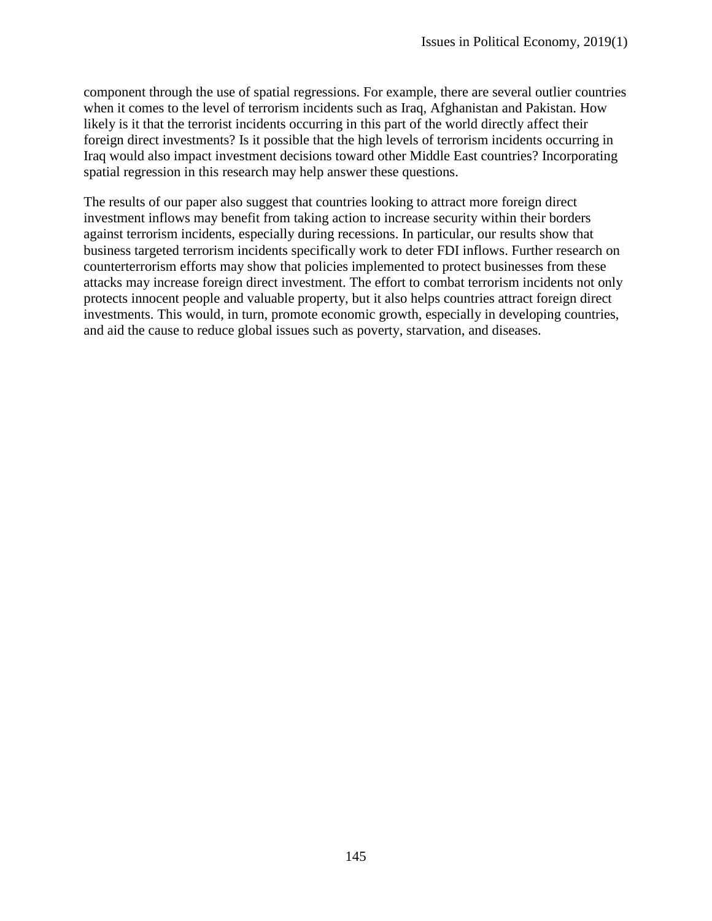component through the use of spatial regressions. For example, there are several outlier countries when it comes to the level of terrorism incidents such as Iraq, Afghanistan and Pakistan. How likely is it that the terrorist incidents occurring in this part of the world directly affect their foreign direct investments? Is it possible that the high levels of terrorism incidents occurring in Iraq would also impact investment decisions toward other Middle East countries? Incorporating spatial regression in this research may help answer these questions.

The results of our paper also suggest that countries looking to attract more foreign direct investment inflows may benefit from taking action to increase security within their borders against terrorism incidents, especially during recessions. In particular, our results show that business targeted terrorism incidents specifically work to deter FDI inflows. Further research on counterterrorism efforts may show that policies implemented to protect businesses from these attacks may increase foreign direct investment. The effort to combat terrorism incidents not only protects innocent people and valuable property, but it also helps countries attract foreign direct investments. This would, in turn, promote economic growth, especially in developing countries, and aid the cause to reduce global issues such as poverty, starvation, and diseases.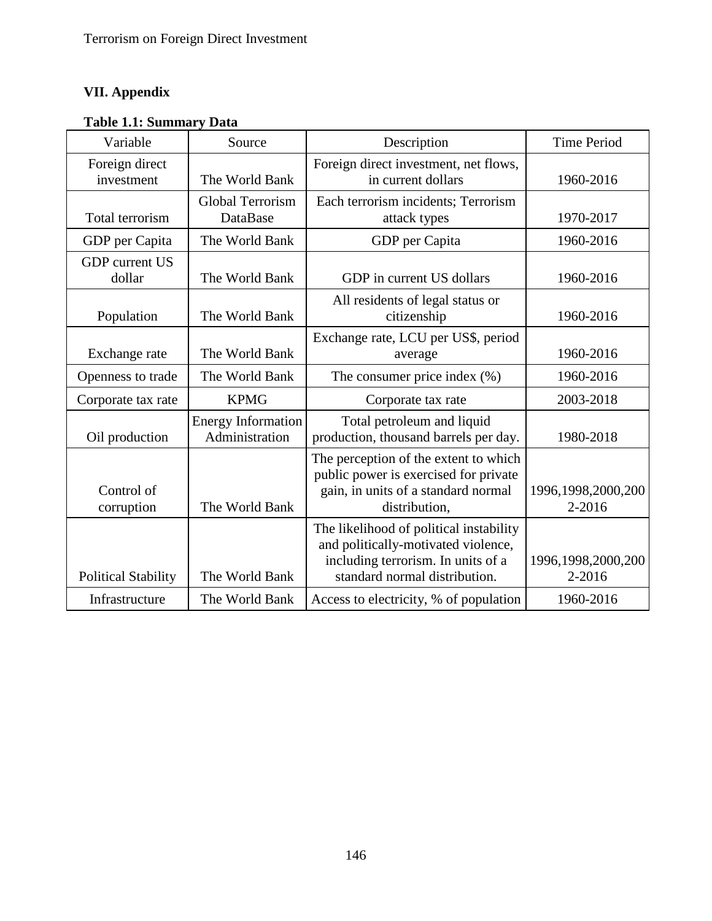# **VII. Appendix**

| <b>Table 1.1: Summary Data</b> |  |
|--------------------------------|--|
|--------------------------------|--|

| Variable                        | Source                                      | Description                                                                                                                                           | <b>Time Period</b>           |
|---------------------------------|---------------------------------------------|-------------------------------------------------------------------------------------------------------------------------------------------------------|------------------------------|
| Foreign direct<br>investment    | The World Bank                              | Foreign direct investment, net flows,<br>in current dollars                                                                                           | 1960-2016                    |
| Total terrorism                 | Global Terrorism<br><b>DataBase</b>         | Each terrorism incidents; Terrorism<br>attack types                                                                                                   | 1970-2017                    |
| GDP per Capita                  | The World Bank                              | GDP per Capita                                                                                                                                        | 1960-2016                    |
| <b>GDP</b> current US<br>dollar | The World Bank                              | GDP in current US dollars                                                                                                                             | 1960-2016                    |
| Population                      | The World Bank                              | All residents of legal status or<br>citizenship                                                                                                       | 1960-2016                    |
| Exchange rate                   | The World Bank                              | Exchange rate, LCU per US\$, period<br>average                                                                                                        | 1960-2016                    |
| Openness to trade               | The World Bank                              | The consumer price index $(\%)$                                                                                                                       | 1960-2016                    |
| Corporate tax rate              | <b>KPMG</b>                                 | Corporate tax rate                                                                                                                                    | 2003-2018                    |
| Oil production                  | <b>Energy Information</b><br>Administration | Total petroleum and liquid<br>production, thousand barrels per day.                                                                                   | 1980-2018                    |
| Control of<br>corruption        | The World Bank                              | The perception of the extent to which<br>public power is exercised for private<br>gain, in units of a standard normal<br>distribution,                | 1996,1998,2000,200<br>2-2016 |
| <b>Political Stability</b>      | The World Bank                              | The likelihood of political instability<br>and politically-motivated violence,<br>including terrorism. In units of a<br>standard normal distribution. | 1996,1998,2000,200<br>2-2016 |
| Infrastructure                  | The World Bank                              | Access to electricity, % of population                                                                                                                | 1960-2016                    |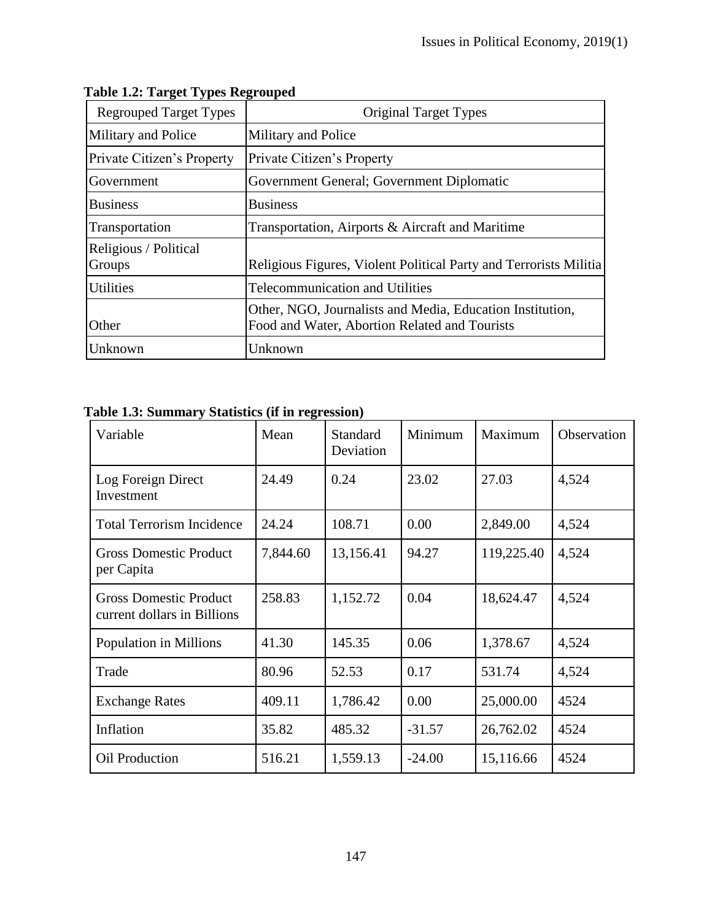| <b>Regrouped Target Types</b>   | <b>Original Target Types</b>                                                                               |
|---------------------------------|------------------------------------------------------------------------------------------------------------|
| Military and Police             | Military and Police                                                                                        |
| Private Citizen's Property      | Private Citizen's Property                                                                                 |
| Government                      | Government General; Government Diplomatic                                                                  |
| <b>Business</b>                 | <b>Business</b>                                                                                            |
| Transportation                  | Transportation, Airports & Aircraft and Maritime                                                           |
| Religious / Political<br>Groups | Religious Figures, Violent Political Party and Terrorists Militia                                          |
| Utilities                       | <b>Telecommunication and Utilities</b>                                                                     |
| Other                           | Other, NGO, Journalists and Media, Education Institution,<br>Food and Water, Abortion Related and Tourists |
| Unknown                         | Unknown                                                                                                    |

# **Table 1.2: Target Types Regrouped**

|  | Table 1.3: Summary Statistics (if in regression) |  |  |
|--|--------------------------------------------------|--|--|
|  |                                                  |  |  |

| Variable                                                     | Mean     | <b>Standard</b><br>Deviation | Minimum  | Maximum    | Observation |
|--------------------------------------------------------------|----------|------------------------------|----------|------------|-------------|
| Log Foreign Direct<br>Investment                             | 24.49    | 0.24                         | 23.02    | 27.03      | 4,524       |
| <b>Total Terrorism Incidence</b>                             | 24.24    | 108.71                       | 0.00     | 2,849.00   | 4,524       |
| <b>Gross Domestic Product</b><br>per Capita                  | 7,844.60 | 13,156.41                    | 94.27    | 119,225.40 | 4,524       |
| <b>Gross Domestic Product</b><br>current dollars in Billions | 258.83   | 1,152.72                     | 0.04     | 18,624.47  | 4,524       |
| Population in Millions                                       | 41.30    | 145.35                       | 0.06     | 1,378.67   | 4,524       |
| Trade                                                        | 80.96    | 52.53                        | 0.17     | 531.74     | 4,524       |
| <b>Exchange Rates</b>                                        | 409.11   | 1,786.42                     | 0.00     | 25,000.00  | 4524        |
| Inflation                                                    | 35.82    | 485.32                       | $-31.57$ | 26,762.02  | 4524        |
| <b>Oil Production</b>                                        | 516.21   | 1,559.13                     | $-24.00$ | 15,116.66  | 4524        |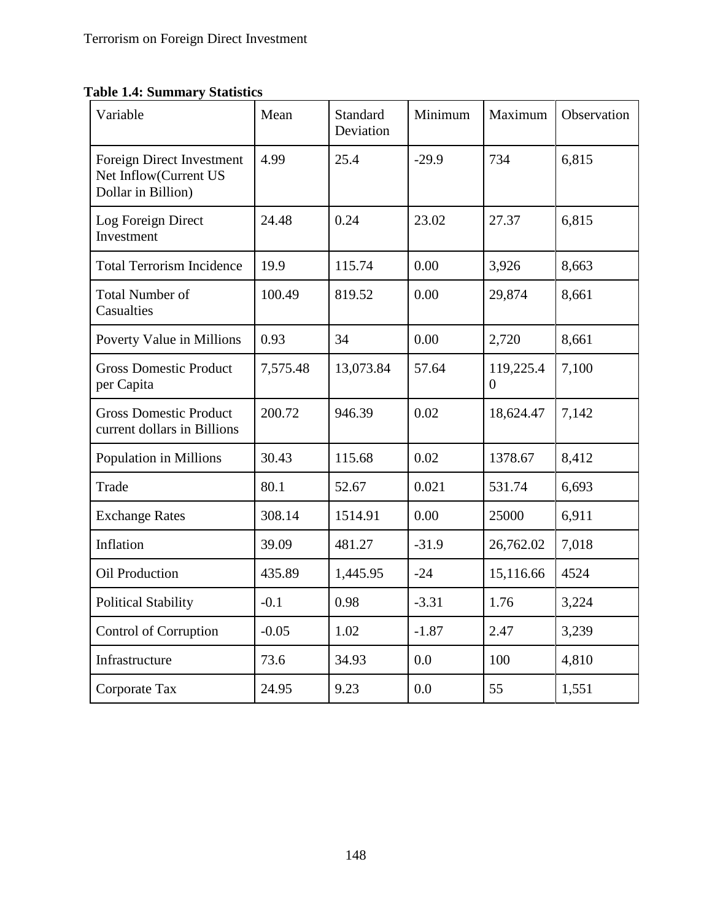**Table 1.4: Summary Statistics**

| Variable                                                                 | Mean     | Standard<br>Deviation | Minimum | Maximum        | Observation |
|--------------------------------------------------------------------------|----------|-----------------------|---------|----------------|-------------|
| Foreign Direct Investment<br>Net Inflow(Current US<br>Dollar in Billion) | 4.99     | 25.4                  | $-29.9$ | 734            | 6,815       |
| Log Foreign Direct<br>Investment                                         | 24.48    | 0.24                  | 23.02   | 27.37          | 6,815       |
| <b>Total Terrorism Incidence</b>                                         | 19.9     | 115.74                | 0.00    | 3,926          | 8,663       |
| <b>Total Number of</b><br>Casualties                                     | 100.49   | 819.52                | 0.00    | 29,874         | 8,661       |
| Poverty Value in Millions                                                | 0.93     | 34                    | 0.00    | 2,720          | 8,661       |
| <b>Gross Domestic Product</b><br>per Capita                              | 7,575.48 | 13,073.84             | 57.64   | 119,225.4<br>0 | 7,100       |
| <b>Gross Domestic Product</b><br>current dollars in Billions             | 200.72   | 946.39                | 0.02    | 18,624.47      | 7,142       |
| Population in Millions                                                   | 30.43    | 115.68                | 0.02    | 1378.67        | 8,412       |
| Trade                                                                    | 80.1     | 52.67                 | 0.021   | 531.74         | 6,693       |
| <b>Exchange Rates</b>                                                    | 308.14   | 1514.91               | 0.00    | 25000          | 6,911       |
| Inflation                                                                | 39.09    | 481.27                | $-31.9$ | 26,762.02      | 7,018       |
| Oil Production                                                           | 435.89   | 1,445.95              | $-24$   | 15,116.66      | 4524        |
| <b>Political Stability</b>                                               | $-0.1$   | 0.98                  | $-3.31$ | 1.76           | 3,224       |
| Control of Corruption                                                    | $-0.05$  | 1.02                  | $-1.87$ | 2.47           | 3,239       |
| Infrastructure                                                           | 73.6     | 34.93                 | 0.0     | 100            | 4,810       |
| Corporate Tax                                                            | 24.95    | 9.23                  | 0.0     | 55             | 1,551       |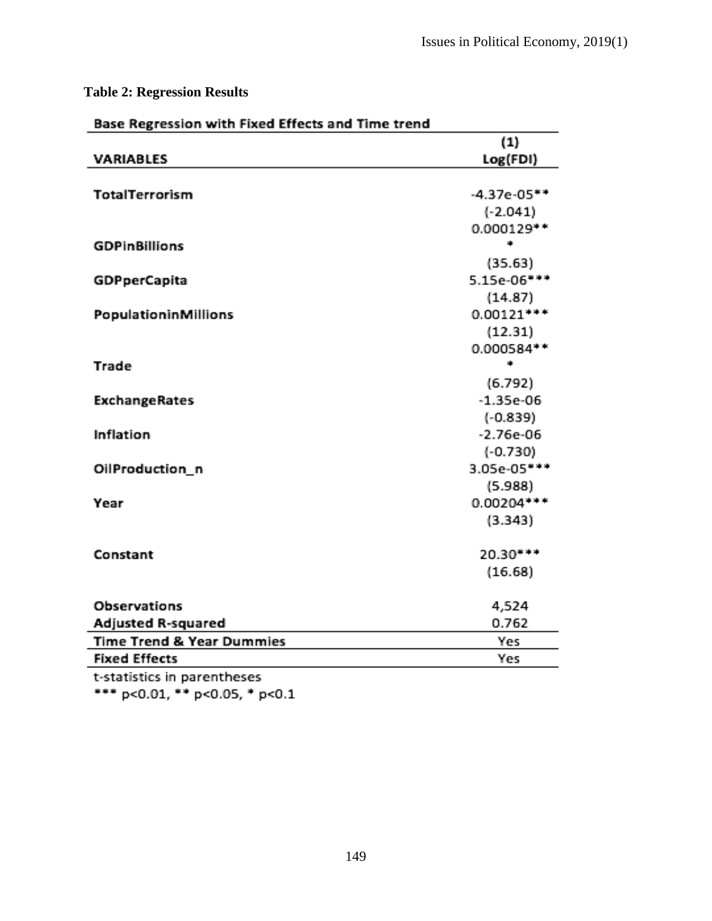# **Table 2: Regression Results**

|                           | (1)           |
|---------------------------|---------------|
| VARIABLES                 | Log(FDI)      |
| TotalTerrorism            | $-4.37e-05**$ |
|                           | $(-2.041)$    |
|                           | 0.000129**    |
| <b>GDPinBillions</b>      | ۰             |
|                           | (35.63)       |
| <b>GDPperCapita</b>       | 5.15e-06***   |
|                           | (14.87)       |
| PopulationinMillions      | $0.00121***$  |
|                           | (12.31)       |
|                           | 0.000584**    |
| Trade                     | ۰             |
|                           | (6.792)       |
| <b>ExchangeRates</b>      | $-1.35e-06$   |
|                           | $(-0.839)$    |
| Inflation                 | $-2.76e-06$   |
|                           | $(-0.730)$    |
| OilProduction_n           | 3.05e-05***   |
|                           | (5.988)       |
| Year                      | $0.00204***$  |
|                           | (3.343)       |
| Constant                  | 20.30***      |
|                           | (16.68)       |
|                           |               |
| <b>Observations</b>       | 4,524         |
| <b>Adjusted R-squared</b> | 0.762         |
| Time Trend & Year Dummies | Yes           |
| <b>Fixed Effects</b>      | Yes           |

t-statistics in parentheses

\*\*\* p<0.01, \*\* p<0.05, \* p<0.1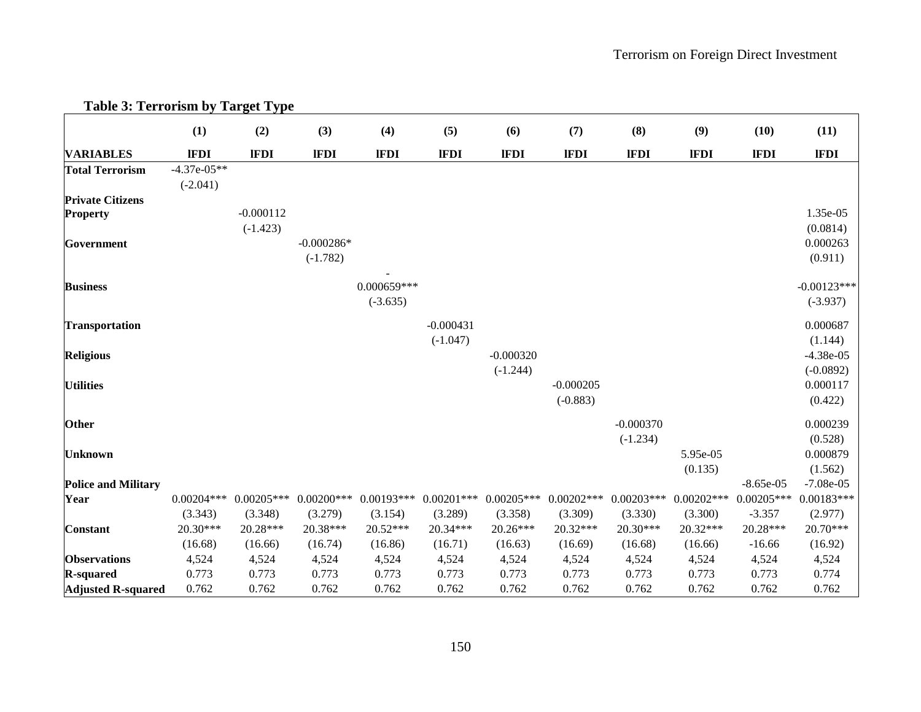|                            | (1)                         | (2)                       | (3)                                | (4)                       | (5)                       | (6)                       | (7)                       | (8)                       | (9)                     | (10)                     | (11)                        |
|----------------------------|-----------------------------|---------------------------|------------------------------------|---------------------------|---------------------------|---------------------------|---------------------------|---------------------------|-------------------------|--------------------------|-----------------------------|
| <b>VARIABLES</b>           | <b>IFDI</b>                 | <b>IFDI</b>               | <b>IFDI</b>                        | <b>IFDI</b>               | <b>IFDI</b>               | <b>IFDI</b>               | <b>IFDI</b>               | <b>IFDI</b>               | <b>IFDI</b>             | <b>IFDI</b>              | <b>IFDI</b>                 |
| <b>Total Terrorism</b>     | $-4.37e-05**$<br>$(-2.041)$ |                           |                                    |                           |                           |                           |                           |                           |                         |                          |                             |
| <b>Private Citizens</b>    |                             |                           |                                    |                           |                           |                           |                           |                           |                         |                          |                             |
| <b>Property</b>            |                             | $-0.000112$<br>$(-1.423)$ |                                    |                           |                           |                           |                           |                           |                         |                          | 1.35e-05<br>(0.0814)        |
| Government                 |                             |                           | $-0.000286*$<br>$(-1.782)$         |                           |                           |                           |                           |                           |                         |                          | 0.000263<br>(0.911)         |
| <b>Business</b>            |                             |                           |                                    | 0.000659***<br>$(-3.635)$ |                           |                           |                           |                           |                         |                          | $-0.00123***$<br>$(-3.937)$ |
| <b>Transportation</b>      |                             |                           |                                    |                           | $-0.000431$<br>$(-1.047)$ |                           |                           |                           |                         |                          | 0.000687<br>(1.144)         |
| <b>Religious</b>           |                             |                           |                                    |                           |                           | $-0.000320$<br>$(-1.244)$ |                           |                           |                         |                          | $-4.38e-05$<br>$(-0.0892)$  |
| <b>Utilities</b>           |                             |                           |                                    |                           |                           |                           | $-0.000205$<br>$(-0.883)$ |                           |                         |                          | 0.000117<br>(0.422)         |
| Other                      |                             |                           |                                    |                           |                           |                           |                           | $-0.000370$<br>$(-1.234)$ |                         |                          | 0.000239<br>(0.528)         |
| <b>Unknown</b>             |                             |                           |                                    |                           |                           |                           |                           |                           | 5.95e-05<br>(0.135)     |                          | 0.000879<br>(1.562)         |
| <b>Police and Military</b> |                             |                           |                                    |                           |                           |                           |                           |                           |                         | $-8.65e-05$              | $-7.08e-05$                 |
| Year                       | $0.00204***$<br>(3.343)     | (3.348)                   | $0.00205***$ 0.00200***<br>(3.279) | $0.00193***$<br>(3.154)   | $0.00201$ ***<br>(3.289)  | $0.00205***$<br>(3.358)   | $0.00202***$<br>(3.309)   | $0.00203***$<br>(3.330)   | $0.00202***$<br>(3.300) | $0.00205***$<br>$-3.357$ | $0.00183***$<br>(2.977)     |
| <b>Constant</b>            | $20.30***$                  | 20.28***                  | 20.38***                           | 20.52***                  | 20.34***                  | 20.26***                  | 20.32***                  | 20.30***                  | 20.32***                | 20.28***                 | $20.70***$                  |
|                            | (16.68)                     | (16.66)                   | (16.74)                            | (16.86)                   | (16.71)                   | (16.63)                   | (16.69)                   | (16.68)                   | (16.66)                 | $-16.66$                 | (16.92)                     |
| <b>Observations</b>        | 4,524                       | 4,524                     | 4,524                              | 4,524                     | 4,524                     | 4,524                     | 4,524                     | 4,524                     | 4,524                   | 4,524                    | 4,524                       |
| <b>R-squared</b>           | 0.773                       | 0.773                     | 0.773                              | 0.773                     | 0.773                     | 0.773                     | 0.773                     | 0.773                     | 0.773                   | 0.773                    | 0.774                       |
| <b>Adjusted R-squared</b>  | 0.762                       | 0.762                     | 0.762                              | 0.762                     | 0.762                     | 0.762                     | 0.762                     | 0.762                     | 0.762                   | 0.762                    | 0.762                       |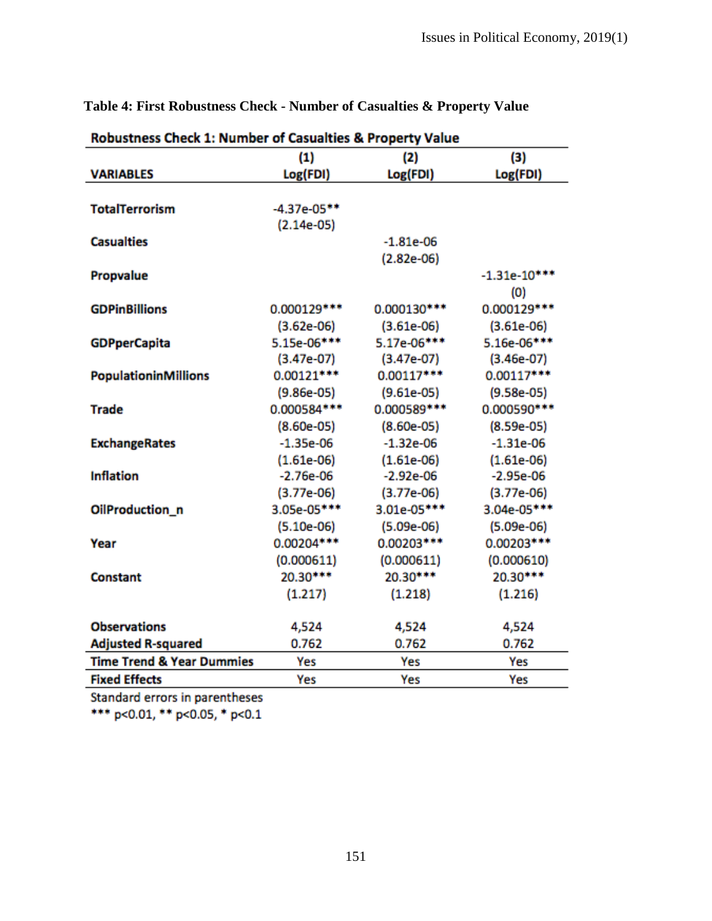|                                      | Robustness Check 1: Number of Casualties & Property Value |              |                |  |  |  |
|--------------------------------------|-----------------------------------------------------------|--------------|----------------|--|--|--|
|                                      | (1)                                                       | (2)          | (3)            |  |  |  |
| <b>VARIABLES</b>                     | Log(FDI)                                                  | Log(FDI)     | Log(FDI)       |  |  |  |
|                                      |                                                           |              |                |  |  |  |
| <b>TotalTerrorism</b>                | $-4.37e-05**$                                             |              |                |  |  |  |
|                                      | $(2.14e-05)$                                              |              |                |  |  |  |
| <b>Casualties</b>                    |                                                           | $-1.81e-06$  |                |  |  |  |
|                                      |                                                           | $(2.82e-06)$ |                |  |  |  |
| Propvalue                            |                                                           |              | $-1.31e-10***$ |  |  |  |
|                                      |                                                           |              | (0)            |  |  |  |
| <b>GDPinBillions</b>                 | 0.000129 ***                                              | 0.000130 *** | 0.000129 ***   |  |  |  |
|                                      | $(3.62e-06)$                                              | $(3.61e-06)$ | $(3.61e-06)$   |  |  |  |
| <b>GDPperCapita</b>                  | 5.15e-06***                                               | 5.17e-06***  | 5.16e-06***    |  |  |  |
|                                      | $(3.47e-07)$                                              | $(3.47e-07)$ | $(3.46e-07)$   |  |  |  |
| PopulationinMillions                 | 0.00121 ***                                               | $0.00117***$ | 0.00117***     |  |  |  |
|                                      | $(9.86e-05)$                                              | $(9.61e-05)$ | $(9.58e-05)$   |  |  |  |
| Trade                                | 0.000584 ***                                              | 0.000589 *** | 0.000590 ***   |  |  |  |
|                                      | $(8.60e-05)$                                              | $(8.60e-05)$ | $(8.59e-05)$   |  |  |  |
| <b>ExchangeRates</b>                 | $-1.35e-06$                                               | $-1.32e-06$  | $-1.31e-06$    |  |  |  |
|                                      | $(1.61e-06)$                                              | $(1.61e-06)$ | $(1.61e-06)$   |  |  |  |
| <b>Inflation</b>                     | $-2.76e-06$                                               | $-2.92e-06$  | $-2.95e-06$    |  |  |  |
|                                      | $(3.77e-06)$                                              | $(3.77e-06)$ | $(3.77e-06)$   |  |  |  |
| OilProduction_n                      | 3.05e-05***                                               | 3.01e-05***  | 3.04e-05***    |  |  |  |
|                                      | $(5.10e-06)$                                              | $(5.09e-06)$ | $(5.09e-06)$   |  |  |  |
| Year                                 | 0.00204 ***                                               | $0.00203***$ | 0.00203***     |  |  |  |
|                                      | (0.000611)                                                | (0.000611)   | (0.000610)     |  |  |  |
| Constant                             | 20.30***                                                  | 20.30***     | 20.30***       |  |  |  |
|                                      | (1.217)                                                   | (1.218)      | (1.216)        |  |  |  |
|                                      |                                                           |              |                |  |  |  |
| <b>Observations</b>                  | 4,524                                                     | 4,524        | 4,524          |  |  |  |
| <b>Adjusted R-squared</b>            | 0.762                                                     | 0.762        | 0.762          |  |  |  |
| <b>Time Trend &amp; Year Dummies</b> | Yes                                                       | Yes          | Yes            |  |  |  |
| <b>Fixed Effects</b>                 | Yes                                                       | Yes          | Yes            |  |  |  |

# **Table 4: First Robustness Check - Number of Casualties & Property Value**

Standard errors in parentheses

\*\*\* p<0.01, \*\* p<0.05, \* p<0.1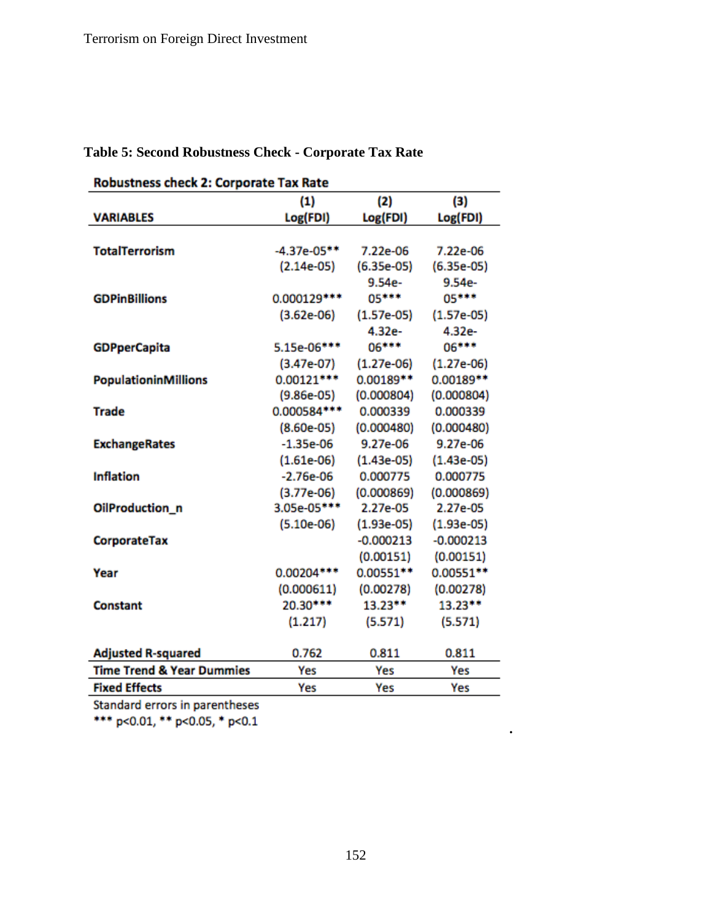|                                      | <b>Robustness check 2: Corporate Tax Rate</b> |              |              |  |  |  |
|--------------------------------------|-----------------------------------------------|--------------|--------------|--|--|--|
|                                      | (1)                                           | (2)          | (3)          |  |  |  |
| <b>VARIABLES</b>                     | Log(FDI)                                      | Log(FDI)     | Log(FDI)     |  |  |  |
|                                      |                                               |              |              |  |  |  |
| <b>TotalTerrorism</b>                | $-4.37e-05**$                                 | 7.22e-06     | 7.22e-06     |  |  |  |
|                                      | $(2.14e-05)$                                  | $(6.35e-05)$ | $(6.35e-05)$ |  |  |  |
|                                      |                                               | $9.54e-$     | 9.54e-       |  |  |  |
| <b>GDPinBillions</b>                 | 0.000129 ***                                  | 05***        | 05***        |  |  |  |
|                                      | $(3.62e-06)$                                  | $(1.57e-05)$ | $(1.57e-05)$ |  |  |  |
|                                      |                                               | 4.32e-       | 4.32e-       |  |  |  |
| <b>GDPperCapita</b>                  | 5.15e-06***                                   | 06***        | 06***        |  |  |  |
|                                      | $(3.47e-07)$                                  | $(1.27e-06)$ | $(1.27e-06)$ |  |  |  |
| <b>PopulationinMillions</b>          | $0.00121***$                                  | 0.00189**    | $0.00189**$  |  |  |  |
|                                      | $(9.86e-05)$                                  | (0.000804)   | (0.000804)   |  |  |  |
| Trade                                | 0.000584 ***                                  | 0.000339     | 0.000339     |  |  |  |
|                                      | $(8.60e-05)$                                  | (0.000480)   | (0.000480)   |  |  |  |
| <b>ExchangeRates</b>                 | $-1.35e-06$                                   | 9.27e-06     | 9.27e-06     |  |  |  |
|                                      | $(1.61e-06)$                                  | $(1.43e-05)$ | $(1.43e-05)$ |  |  |  |
| <b>Inflation</b>                     | $-2.76e-06$                                   | 0.000775     | 0.000775     |  |  |  |
|                                      | $(3.77e-06)$                                  | (0.000869)   | (0.000869)   |  |  |  |
| OilProduction_n                      | 3.05e-05***                                   | 2.27e-05     | 2.27e-05     |  |  |  |
|                                      | $(5.10e-06)$                                  | $(1.93e-05)$ | $(1.93e-05)$ |  |  |  |
| CorporateTax                         |                                               | $-0.000213$  | $-0.000213$  |  |  |  |
|                                      |                                               | (0.00151)    | (0.00151)    |  |  |  |
| Year                                 | 0.00204***                                    | 0.00551 **   | 0.00551**    |  |  |  |
|                                      | (0.000611)                                    | (0.00278)    | (0.00278)    |  |  |  |
| Constant                             | 20.30***                                      | 13.23**      | $13.23**$    |  |  |  |
|                                      | (1.217)                                       | (5.571)      | (5.571)      |  |  |  |
|                                      |                                               |              |              |  |  |  |
| <b>Adjusted R-squared</b>            | 0.762                                         | 0.811        | 0.811        |  |  |  |
| <b>Time Trend &amp; Year Dummies</b> | Yes                                           | Yes          | Yes          |  |  |  |
| <b>Fixed Effects</b>                 | Yes                                           | Yes          | Yes          |  |  |  |

**Table 5: Second Robustness Check - Corporate Tax Rate**

Standard errors in parentheses

\*\*\* p<0.01, \*\* p<0.05, \* p<0.1

**.**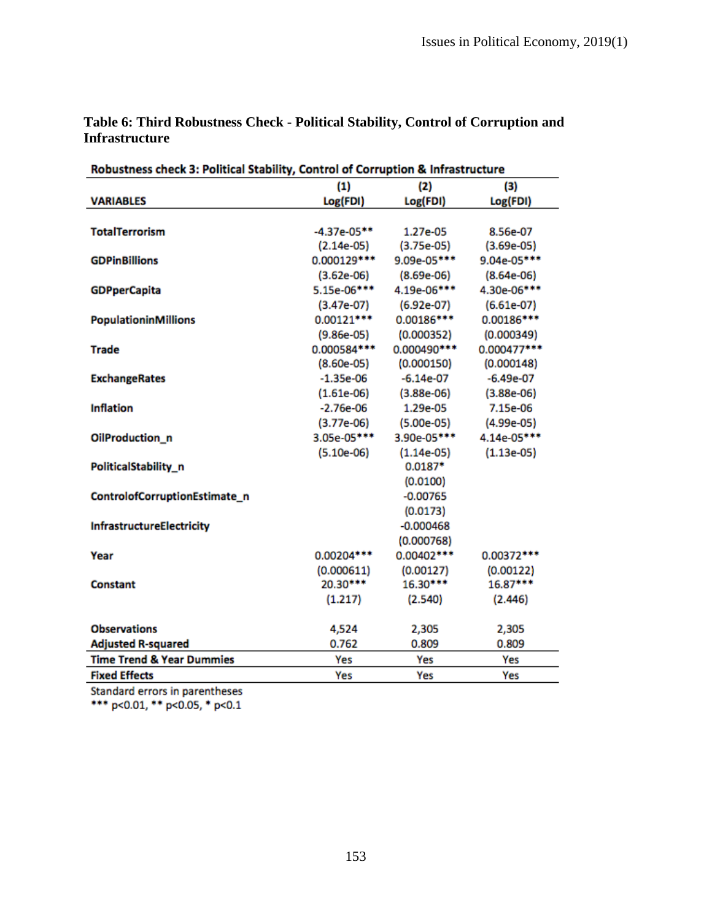| Robustness check 3: Political Stability, Control of Corruption & Infrastructure |                   |              |              |  |  |
|---------------------------------------------------------------------------------|-------------------|--------------|--------------|--|--|
|                                                                                 | (1)<br>(2)<br>(3) |              |              |  |  |
| <b>VARIABLES</b>                                                                | Log(FDI)          | Log(FDI)     | Log(FDI)     |  |  |
|                                                                                 |                   |              |              |  |  |
| <b>TotalTerrorism</b>                                                           | $-4.37e-05**$     | 1.27e-05     | 8.56e-07     |  |  |
|                                                                                 | $(2.14e-05)$      | $(3.75e-05)$ | $(3.69e-05)$ |  |  |
| <b>GDPinBillions</b>                                                            | 0.000129 ***      | 9.09e-05***  | 9.04e-05***  |  |  |
|                                                                                 | $(3.62e-06)$      | $(8.69e-06)$ | $(8.64e-06)$ |  |  |
| <b>GDPperCapita</b>                                                             | 5.15e-06***       | 4.19e-06***  | 4.30e-06***  |  |  |
|                                                                                 | $(3.47e-07)$      | $(6.92e-07)$ | $(6.61e-07)$ |  |  |
| <b>PopulationinMillions</b>                                                     | $0.00121***$      | $0.00186***$ | $0.00186***$ |  |  |
|                                                                                 | $(9.86e-05)$      | (0.000352)   | (0.000349)   |  |  |
| <b>Trade</b>                                                                    | 0.000584***       | 0.000490 *** | 0.000477***  |  |  |
|                                                                                 | $(8.60e-05)$      | (0.000150)   | (0.000148)   |  |  |
| <b>ExchangeRates</b>                                                            | $-1.35e-06$       | $-6.14e-07$  | $-6.49e-07$  |  |  |
|                                                                                 | $(1.61e-06)$      | $(3.88e-06)$ | $(3.88e-06)$ |  |  |
| <b>Inflation</b>                                                                | $-2.76e-06$       | 1.29e-05     | 7.15e-06     |  |  |
|                                                                                 | $(3.77e-06)$      | $(5.00e-05)$ | $(4.99e-05)$ |  |  |
| OilProduction_n                                                                 | 3.05e-05***       | 3.90e-05***  | 4.14e-05***  |  |  |
|                                                                                 | $(5.10e-06)$      | $(1.14e-05)$ | $(1.13e-05)$ |  |  |
| PoliticalStability_n                                                            |                   | $0.0187*$    |              |  |  |
|                                                                                 |                   | (0.0100)     |              |  |  |
| ControlofCorruptionEstimate_n                                                   |                   | $-0.00765$   |              |  |  |
|                                                                                 |                   | (0.0173)     |              |  |  |
| <b>InfrastructureElectricity</b>                                                |                   | $-0.000468$  |              |  |  |
|                                                                                 |                   | (0.000768)   |              |  |  |
| Year                                                                            | 0.00204 ***       | $0.00402***$ | 0.00372 ***  |  |  |
|                                                                                 | (0.000611)        | (0.00127)    | (0.00122)    |  |  |
| Constant                                                                        | 20.30***          | 16.30***     | 16.87***     |  |  |
|                                                                                 | (1.217)           | (2.540)      | (2.446)      |  |  |
|                                                                                 |                   |              |              |  |  |
| <b>Observations</b>                                                             | 4,524             | 2,305        | 2,305        |  |  |
| <b>Adjusted R-squared</b>                                                       | 0.762             | 0.809        | 0.809        |  |  |
| <b>Time Trend &amp; Year Dummies</b>                                            | Yes               | Yes          | Yes          |  |  |
| <b>Fixed Effects</b>                                                            | Yes               | Yes          | Yes          |  |  |
| <b>Contract Contract Contract</b><br>$\mathbf{R}$<br>$\sim$ 1.                  |                   |              |              |  |  |

# **Table 6: Third Robustness Check - Political Stability, Control of Corruption and Infrastructure**

Standard errors in parentheses

\*\*\* p<0.01, \*\* p<0.05, \* p<0.1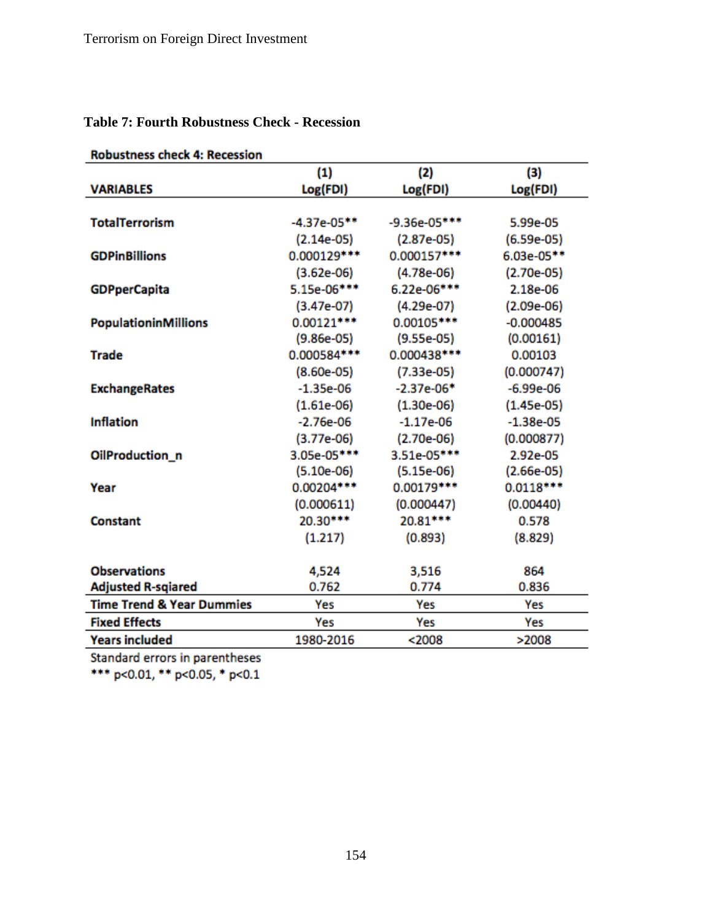|  |  |  | <b>Table 7: Fourth Robustness Check - Recession</b> |  |  |
|--|--|--|-----------------------------------------------------|--|--|
|--|--|--|-----------------------------------------------------|--|--|

| <b>Robustness check 4: Recession</b> | (1)           | (2)            | (3)          |
|--------------------------------------|---------------|----------------|--------------|
| <b>VARIABLES</b>                     | Log(FDI)      | Log(FDI)       | Log(FDI)     |
|                                      |               |                |              |
| <b>TotalTerrorism</b>                | $-4.37e-05**$ | $-9.36e-05***$ | 5.99e-05     |
|                                      | $(2.14e-05)$  | $(2.87e-05)$   | $(6.59e-05)$ |
| <b>GDPinBillions</b>                 | 0.000129 ***  | 0.000157***    | 6.03e-05**   |
|                                      | $(3.62e-06)$  | $(4.78e-06)$   | $(2.70e-05)$ |
| <b>GDPperCapita</b>                  | 5.15e-06***   | 6.22e-06***    | 2.18e-06     |
|                                      | $(3.47e-07)$  | $(4.29e-07)$   | $(2.09e-06)$ |
| <b>PopulationinMillions</b>          | $0.00121***$  | 0.00105 ***    | $-0.000485$  |
|                                      | $(9.86e-05)$  | $(9.55e-05)$   | (0.00161)    |
| <b>Trade</b>                         | 0.000584***   | 0.000438***    | 0.00103      |
|                                      | $(8.60e-05)$  | $(7.33e-05)$   | (0.000747)   |
| <b>ExchangeRates</b>                 | $-1.35e-06$   | $-2.37e-06*$   | $-6.99e-06$  |
|                                      | $(1.61e-06)$  | $(1.30e-06)$   | $(1.45e-05)$ |
| <b>Inflation</b>                     | $-2.76e-06$   | $-1.17e-06$    | $-1.38e-05$  |
|                                      | $(3.77e-06)$  | $(2.70e-06)$   | (0.000877)   |
| OilProduction_n                      | 3.05e-05***   | 3.51e-05***    | 2.92e-05     |
|                                      | $(5.10e-06)$  | $(5.15e-06)$   | $(2.66e-05)$ |
| Year                                 | 0.00204 ***   | 0.00179 ***    | $0.0118***$  |
|                                      | (0.000611)    | (0.000447)     | (0.00440)    |
| <b>Constant</b>                      | 20.30***      | 20.81***       | 0.578        |
|                                      | (1.217)       | (0.893)        | (8.829)      |
| <b>Observations</b>                  | 4,524         | 3,516          | 864          |
| <b>Adjusted R-sqiared</b>            | 0.762         | 0.774          | 0.836        |
| <b>Time Trend &amp; Year Dummies</b> | Yes           | Yes            | Yes          |
| <b>Fixed Effects</b>                 | Yes           | Yes            | Yes          |
| <b>Years included</b>                | 1980-2016     | $2008$         | >2008        |

# **Pobustness check A: Pecessio**

Standard errors in parentheses<br>\*\*\* p<0.01, \*\* p<0.05, \* p<0.1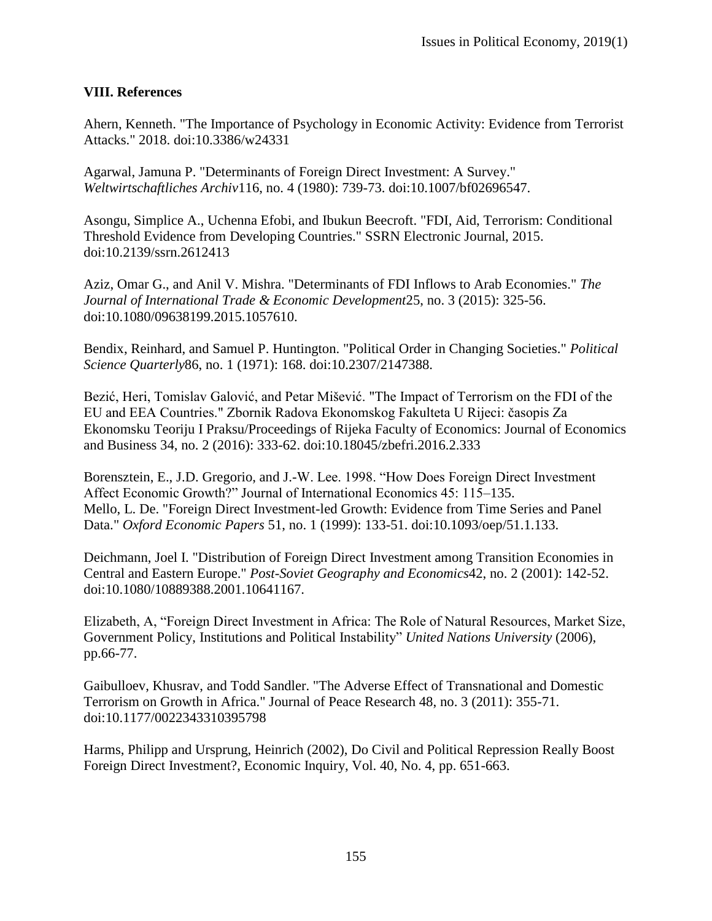#### **VIII. References**

Ahern, Kenneth. "The Importance of Psychology in Economic Activity: Evidence from Terrorist Attacks." 2018. doi:10.3386/w24331

Agarwal, Jamuna P. "Determinants of Foreign Direct Investment: A Survey." *Weltwirtschaftliches Archiv*116, no. 4 (1980): 739-73. doi:10.1007/bf02696547.

Asongu, Simplice A., Uchenna Efobi, and Ibukun Beecroft. "FDI, Aid, Terrorism: Conditional Threshold Evidence from Developing Countries." SSRN Electronic Journal, 2015. doi:10.2139/ssrn.2612413

Aziz, Omar G., and Anil V. Mishra. "Determinants of FDI Inflows to Arab Economies." *The Journal of International Trade & Economic Development*25, no. 3 (2015): 325-56. doi:10.1080/09638199.2015.1057610.

Bendix, Reinhard, and Samuel P. Huntington. "Political Order in Changing Societies." *Political Science Quarterly*86, no. 1 (1971): 168. doi:10.2307/2147388.

Bezić, Heri, Tomislav Galović, and Petar Mišević. "The Impact of Terrorism on the FDI of the EU and EEA Countries." Zbornik Radova Ekonomskog Fakulteta U Rijeci: časopis Za Ekonomsku Teoriju I Praksu/Proceedings of Rijeka Faculty of Economics: Journal of Economics and Business 34, no. 2 (2016): 333-62. doi:10.18045/zbefri.2016.2.333

Borensztein, E., J.D. Gregorio, and J.-W. Lee. 1998. "How Does Foreign Direct Investment Affect Economic Growth?" Journal of International Economics 45: 115–135. Mello, L. De. "Foreign Direct Investment-led Growth: Evidence from Time Series and Panel Data." *Oxford Economic Papers* 51, no. 1 (1999): 133-51. doi:10.1093/oep/51.1.133.

Deichmann, Joel I. "Distribution of Foreign Direct Investment among Transition Economies in Central and Eastern Europe." *Post-Soviet Geography and Economics*42, no. 2 (2001): 142-52. doi:10.1080/10889388.2001.10641167.

Elizabeth, A, "Foreign Direct Investment in Africa: The Role of Natural Resources, Market Size, Government Policy, Institutions and Political Instability" *United Nations University* (2006), pp.66-77.

Gaibulloev, Khusrav, and Todd Sandler. "The Adverse Effect of Transnational and Domestic Terrorism on Growth in Africa." Journal of Peace Research 48, no. 3 (2011): 355-71. doi:10.1177/0022343310395798

Harms, Philipp and Ursprung, Heinrich (2002), Do Civil and Political Repression Really Boost Foreign Direct Investment?, Economic Inquiry, Vol. 40, No. 4, pp. 651-663.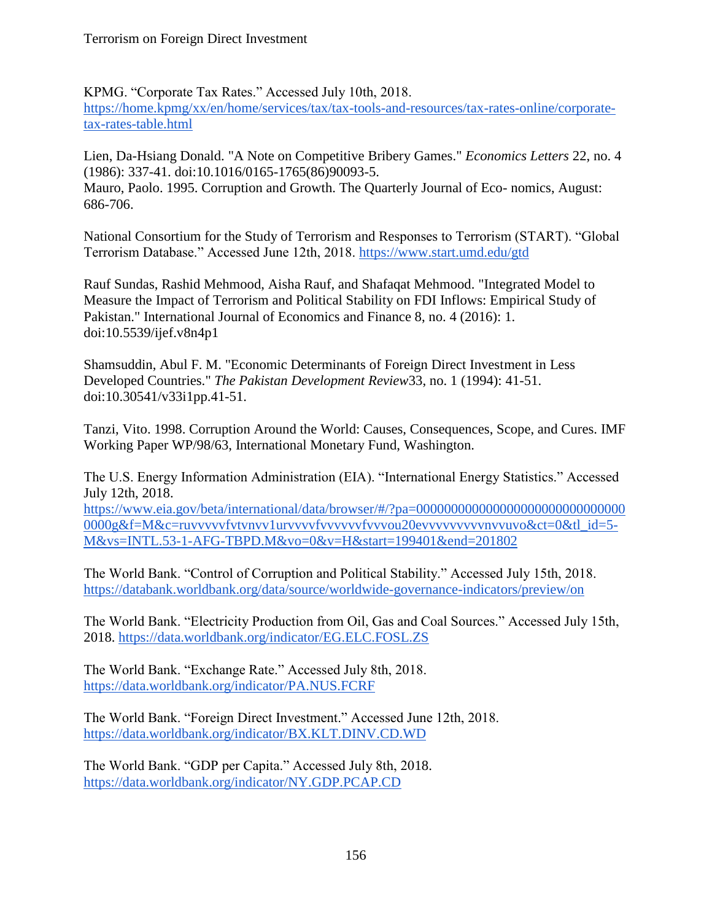KPMG. "Corporate Tax Rates." Accessed July 10th, 2018. [https://home.kpmg/xx/en/home/services/tax/tax-tools-and-resources/tax-rates-online/corporate](https://home.kpmg/xx/en/home/services/tax/tax-tools-and-resources/tax-rates-online/corporate-tax-rates-table.html)[tax-rates-table.html](https://home.kpmg/xx/en/home/services/tax/tax-tools-and-resources/tax-rates-online/corporate-tax-rates-table.html)

Lien, Da-Hsiang Donald. "A Note on Competitive Bribery Games." *Economics Letters* 22, no. 4 (1986): 337-41. doi:10.1016/0165-1765(86)90093-5. Mauro, Paolo. 1995. Corruption and Growth. The Quarterly Journal of Eco- nomics, August: 686-706.

National Consortium for the Study of Terrorism and Responses to Terrorism (START). "Global Terrorism Database." Accessed June 12th, 2018. https://www.start.umd.edu/gtd

Rauf Sundas, Rashid Mehmood, Aisha Rauf, and Shafaqat Mehmood. "Integrated Model to Measure the Impact of Terrorism and Political Stability on FDI Inflows: Empirical Study of Pakistan." International Journal of Economics and Finance 8, no. 4 (2016): 1. doi:10.5539/ijef.v8n4p1

Shamsuddin, Abul F. M. "Economic Determinants of Foreign Direct Investment in Less Developed Countries." *The Pakistan Development Review*33, no. 1 (1994): 41-51. doi:10.30541/v33i1pp.41-51.

Tanzi, Vito. 1998. Corruption Around the World: Causes, Consequences, Scope, and Cures. IMF Working Paper WP/98/63, International Monetary Fund, Washington.

The U.S. Energy Information Administration (EIA). "International Energy Statistics." Accessed July 12th, 2018.

[https://www.eia.gov/beta/international/data/browser/#/?pa=000000000000000000000000000000](https://www.eia.gov/beta/international/data/browser/#/?pa=0000000000000000000000000000000000g&f=M&c=ruvvvvvfvtvnvv1urvvvvfvvvvvvfvvvou20evvvvvvvvvnvvuvo&ct=0&tl_id=5-M&vs=INTL.53-1-AFG-TBPD.M&vo=0&v=H&start=199401&end=201802) 0000g&f=M&c=ruvvvvvfvtvnvv1urvvvvfvvvvvvvvvvou20evvvvvvvvvvvvvvuvo&ct=0&tl\_id=5-[M&vs=INTL.53-1-AFG-TBPD.M&vo=0&v=H&start=199401&end=201802](https://www.eia.gov/beta/international/data/browser/#/?pa=0000000000000000000000000000000000g&f=M&c=ruvvvvvfvtvnvv1urvvvvfvvvvvvfvvvou20evvvvvvvvvnvvuvo&ct=0&tl_id=5-M&vs=INTL.53-1-AFG-TBPD.M&vo=0&v=H&start=199401&end=201802)

The World Bank. "Control of Corruption and Political Stability." Accessed July 15th, 2018. <https://databank.worldbank.org/data/source/worldwide-governance-indicators/preview/on>

The World Bank. "Electricity Production from Oil, Gas and Coal Sources." Accessed July 15th, 2018.<https://data.worldbank.org/indicator/EG.ELC.FOSL.ZS>

The World Bank. "Exchange Rate." Accessed July 8th, 2018. <https://data.worldbank.org/indicator/PA.NUS.FCRF>

The World Bank. "Foreign Direct Investment." Accessed June 12th, 2018. <https://data.worldbank.org/indicator/BX.KLT.DINV.CD.WD>

The World Bank. "GDP per Capita." Accessed July 8th, 2018. <https://data.worldbank.org/indicator/NY.GDP.PCAP.CD>